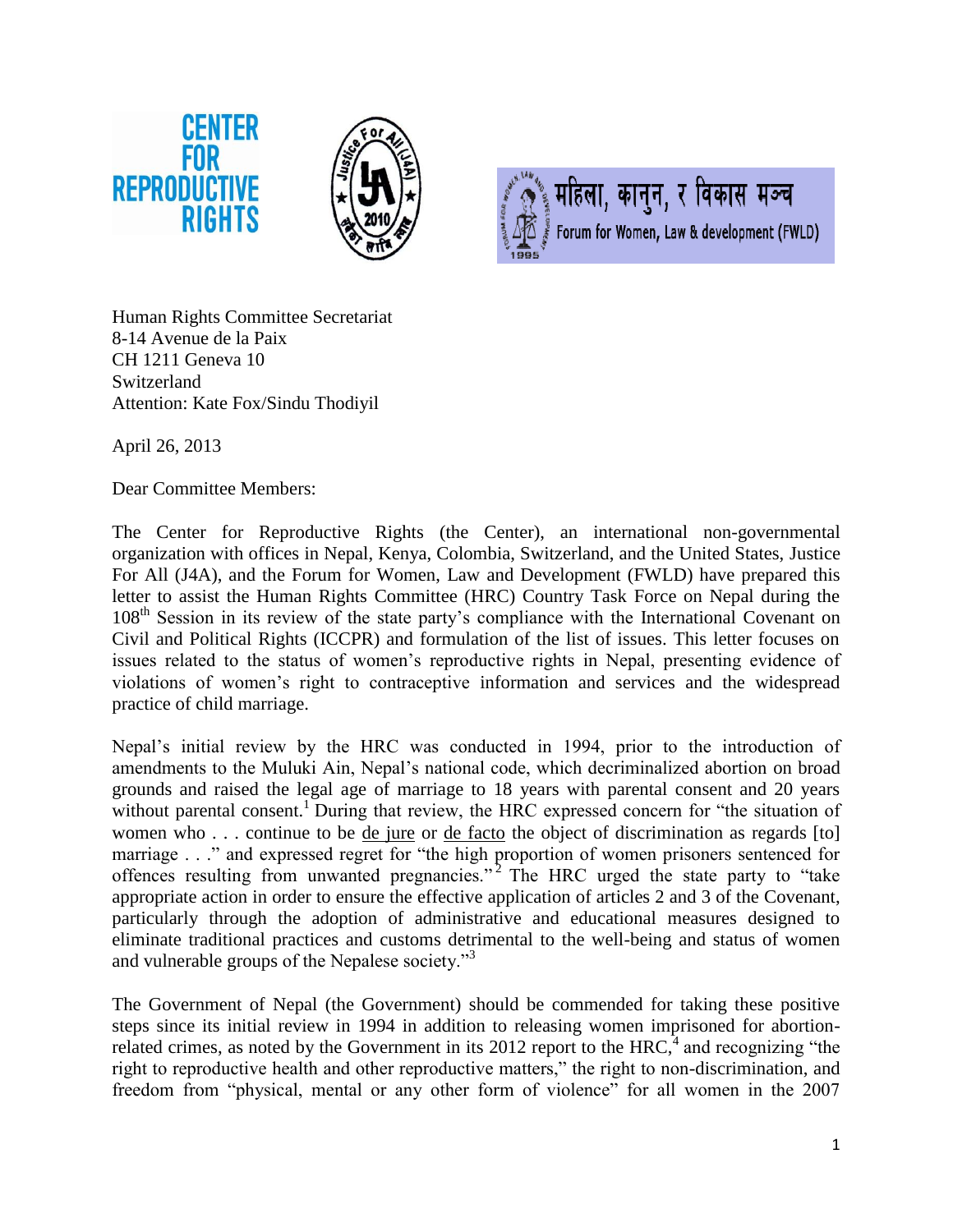



महिला, कानुन, र विकास मञ्च Forum for Women, Law & development (FWLD)

Human Rights Committee Secretariat 8-14 Avenue de la Paix CH 1211 Geneva 10 Switzerland Attention: Kate Fox/Sindu Thodiyil

April 26, 2013

Dear Committee Members:

The Center for Reproductive Rights (the Center), an international non-governmental organization with offices in Nepal, Kenya, Colombia, Switzerland, and the United States, Justice For All (J4A), and the Forum for Women, Law and Development (FWLD) have prepared this letter to assist the Human Rights Committee (HRC) Country Task Force on Nepal during the 108<sup>th</sup> Session in its review of the state party's compliance with the International Covenant on Civil and Political Rights (ICCPR) and formulation of the list of issues. This letter focuses on issues related to the status of women's reproductive rights in Nepal, presenting evidence of violations of women's right to contraceptive information and services and the widespread practice of child marriage.

Nepal's initial review by the HRC was conducted in 1994, prior to the introduction of amendments to the Muluki Ain, Nepal's national code, which decriminalized abortion on broad grounds and raised the legal age of marriage to 18 years with parental consent and 20 years without parental consent.<sup>1</sup> During that review, the HRC expressed concern for "the situation of women who . . . continue to be de jure or de facto the object of discrimination as regards [to] marriage . . ." and expressed regret for "the high proportion of women prisoners sentenced for offences resulting from unwanted pregnancies."<sup>2</sup> The HRC urged the state party to "take appropriate action in order to ensure the effective application of articles 2 and 3 of the Covenant, particularly through the adoption of administrative and educational measures designed to eliminate traditional practices and customs detrimental to the well-being and status of women and vulnerable groups of the Nepalese society."<sup>3</sup>

The Government of Nepal (the Government) should be commended for taking these positive steps since its initial review in 1994 in addition to releasing women imprisoned for abortionrelated crimes, as noted by the Government in its 2012 report to the HRC, $4$  and recognizing "the right to reproductive health and other reproductive matters," the right to non-discrimination, and freedom from "physical, mental or any other form of violence" for all women in the 2007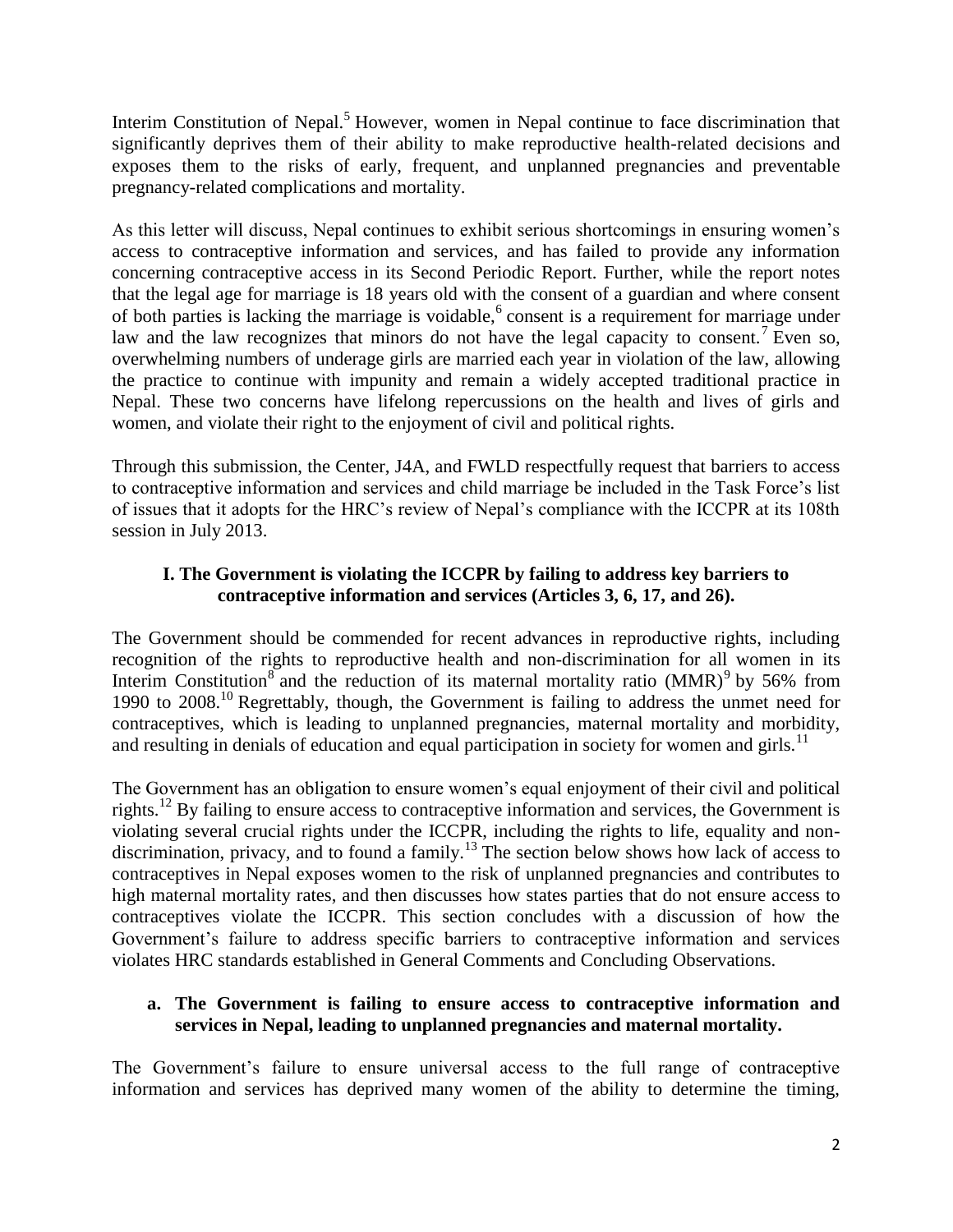Interim Constitution of Nepal.<sup>5</sup> However, women in Nepal continue to face discrimination that significantly deprives them of their ability to make reproductive health-related decisions and exposes them to the risks of early, frequent, and unplanned pregnancies and preventable pregnancy-related complications and mortality.

As this letter will discuss, Nepal continues to exhibit serious shortcomings in ensuring women's access to contraceptive information and services, and has failed to provide any information concerning contraceptive access in its Second Periodic Report. Further, while the report notes that the legal age for marriage is 18 years old with the consent of a guardian and where consent of both parties is lacking the marriage is voidable,<sup>6</sup> consent is a requirement for marriage under law and the law recognizes that minors do not have the legal capacity to consent.<sup>7</sup> Even so, overwhelming numbers of underage girls are married each year in violation of the law, allowing the practice to continue with impunity and remain a widely accepted traditional practice in Nepal. These two concerns have lifelong repercussions on the health and lives of girls and women, and violate their right to the enjoyment of civil and political rights.

Through this submission, the Center, J4A, and FWLD respectfully request that barriers to access to contraceptive information and services and child marriage be included in the Task Force's list of issues that it adopts for the HRC's review of Nepal's compliance with the ICCPR at its 108th session in July 2013.

# **I. The Government is violating the ICCPR by failing to address key barriers to contraceptive information and services (Articles 3, 6, 17, and 26).**

The Government should be commended for recent advances in reproductive rights, including recognition of the rights to reproductive health and non-discrimination for all women in its Interim Constitution<sup>8</sup> and the reduction of its maternal mortality ratio  $(MMR)^9$  by 56% from 1990 to 2008.<sup>10</sup> Regrettably, though, the Government is failing to address the unmet need for contraceptives, which is leading to unplanned pregnancies, maternal mortality and morbidity, and resulting in denials of education and equal participation in society for women and girls.<sup>11</sup>

The Government has an obligation to ensure women's equal enjoyment of their civil and political rights.<sup>12</sup> By failing to ensure access to contraceptive information and services, the Government is violating several crucial rights under the ICCPR, including the rights to life, equality and nondiscrimination, privacy, and to found a family.<sup>13</sup> The section below shows how lack of access to contraceptives in Nepal exposes women to the risk of unplanned pregnancies and contributes to high maternal mortality rates, and then discusses how states parties that do not ensure access to contraceptives violate the ICCPR. This section concludes with a discussion of how the Government's failure to address specific barriers to contraceptive information and services violates HRC standards established in General Comments and Concluding Observations.

## **a. The Government is failing to ensure access to contraceptive information and services in Nepal, leading to unplanned pregnancies and maternal mortality.**

The Government's failure to ensure universal access to the full range of contraceptive information and services has deprived many women of the ability to determine the timing,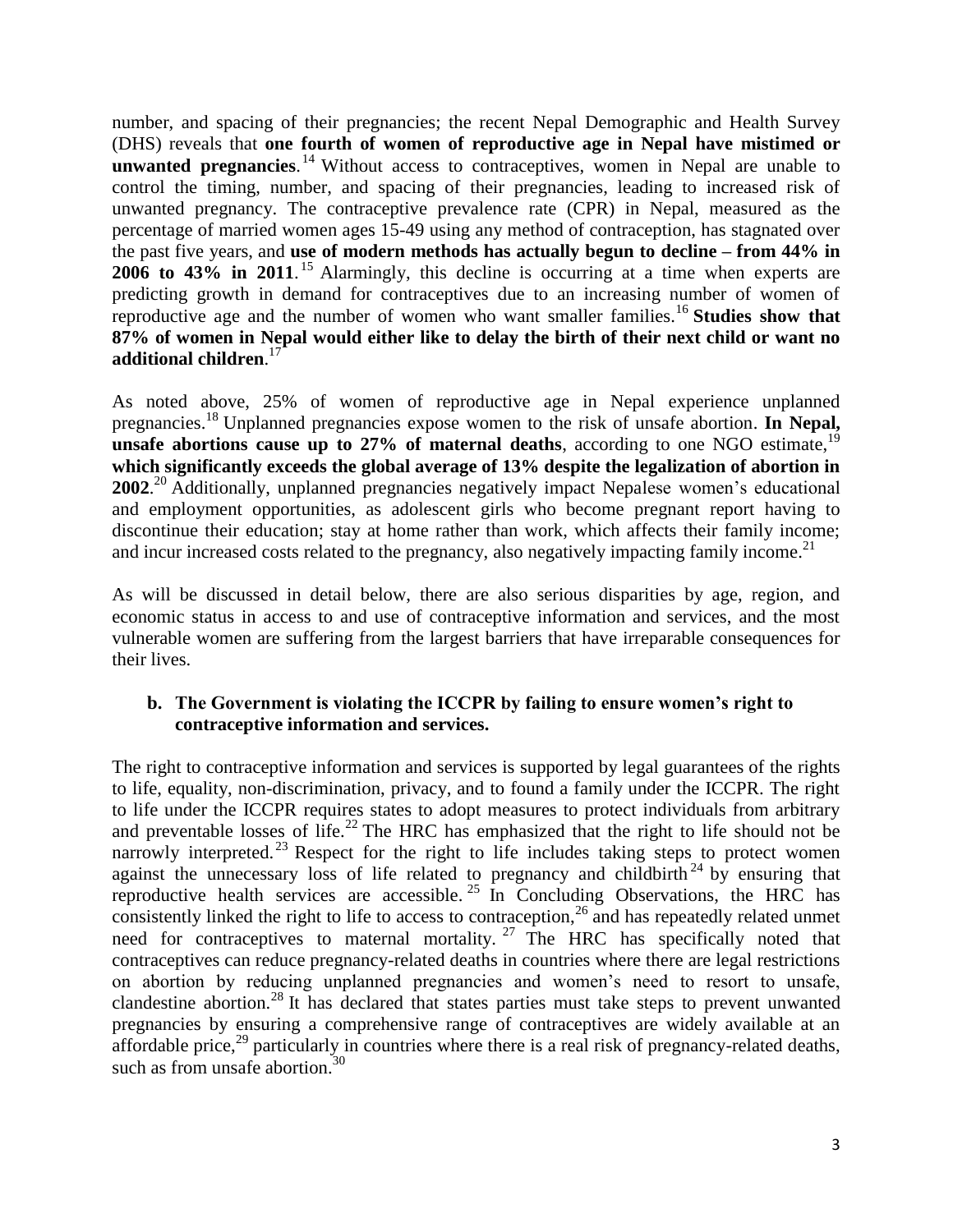number, and spacing of their pregnancies; the recent Nepal Demographic and Health Survey (DHS) reveals that **one fourth of women of reproductive age in Nepal have mistimed or unwanted pregnancies**.<sup>14</sup> Without access to contraceptives, women in Nepal are unable to control the timing, number, and spacing of their pregnancies, leading to increased risk of unwanted pregnancy. The contraceptive prevalence rate (CPR) in Nepal, measured as the percentage of married women ages 15-49 using any method of contraception, has stagnated over the past five years, and **use of modern methods has actually begun to decline – from 44% in 2006 to 43% in 2011**. <sup>15</sup> Alarmingly, this decline is occurring at a time when experts are predicting growth in demand for contraceptives due to an increasing number of women of reproductive age and the number of women who want smaller families.<sup>16</sup> Studies show that **87% of women in Nepal would either like to delay the birth of their next child or want no additional children**. 17

As noted above, 25% of women of reproductive age in Nepal experience unplanned pregnancies.<sup>18</sup> Unplanned pregnancies expose women to the risk of unsafe abortion. **In Nepal, unsafe abortions cause up to 27% of maternal deaths**, according to one NGO estimate,<sup>19</sup> **which significantly exceeds the global average of 13% despite the legalization of abortion in**  2002.<sup>20</sup> Additionally, unplanned pregnancies negatively impact Nepalese women's educational and employment opportunities, as adolescent girls who become pregnant report having to discontinue their education; stay at home rather than work, which affects their family income; and incur increased costs related to the pregnancy, also negatively impacting family income.<sup>21</sup>

As will be discussed in detail below, there are also serious disparities by age, region, and economic status in access to and use of contraceptive information and services, and the most vulnerable women are suffering from the largest barriers that have irreparable consequences for their lives.

#### **b. The Government is violating the ICCPR by failing to ensure women's right to contraceptive information and services.**

The right to contraceptive information and services is supported by legal guarantees of the rights to life, equality, non-discrimination, privacy, and to found a family under the ICCPR. The right to life under the ICCPR requires states to adopt measures to protect individuals from arbitrary and preventable losses of life.<sup>22</sup> The HRC has emphasized that the right to life should not be narrowly interpreted.<sup>23</sup> Respect for the right to life includes taking steps to protect women against the unnecessary loss of life related to pregnancy and childbirth<sup>24</sup> by ensuring that reproductive health services are accessible. <sup>25</sup> In Concluding Observations, the HRC has consistently linked the right to life to access to contraception, $26$  and has repeatedly related unmet need for contraceptives to maternal mortality.  $27$  The HRC has specifically noted that contraceptives can reduce pregnancy-related deaths in countries where there are legal restrictions on abortion by reducing unplanned pregnancies and women's need to resort to unsafe, clandestine abortion.<sup>28</sup> It has declared that states parties must take steps to prevent unwanted pregnancies by ensuring a comprehensive range of contraceptives are widely available at an affordable price,<sup>29</sup> particularly in countries where there is a real risk of pregnancy-related deaths, such as from unsafe abortion. $30$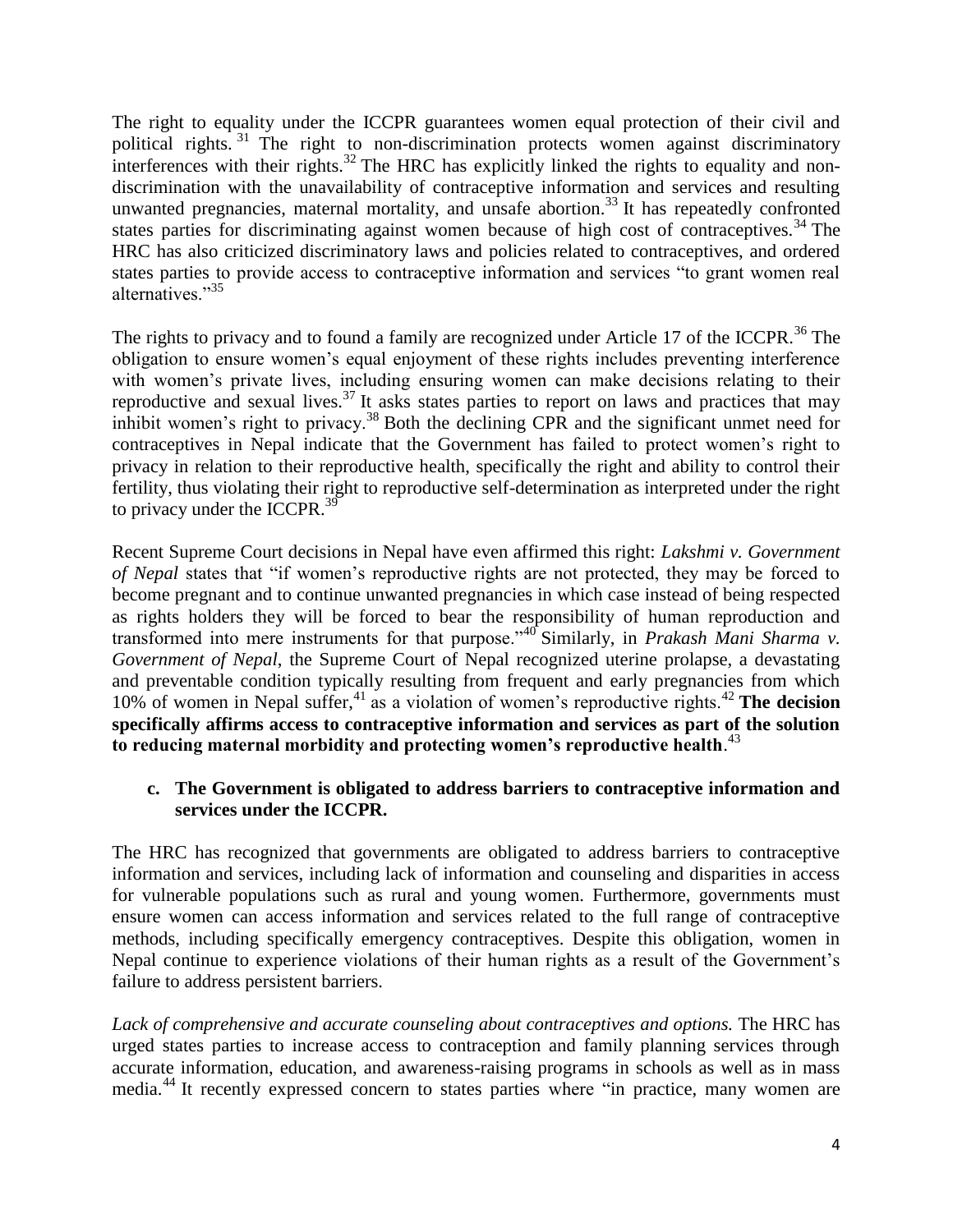The right to equality under the ICCPR guarantees women equal protection of their civil and political rights.<sup>31</sup> The right to non-discrimination protects women against discriminatory interferences with their rights.<sup>32</sup> The HRC has explicitly linked the rights to equality and nondiscrimination with the unavailability of contraceptive information and services and resulting unwanted pregnancies, maternal mortality, and unsafe abortion.<sup>33</sup> It has repeatedly confronted states parties for discriminating against women because of high cost of contraceptives.<sup>34</sup> The HRC has also criticized discriminatory laws and policies related to contraceptives, and ordered states parties to provide access to contraceptive information and services "to grant women real alternatives."<sup>35</sup>

The rights to privacy and to found a family are recognized under Article 17 of the ICCPR.<sup>36</sup> The obligation to ensure women's equal enjoyment of these rights includes preventing interference with women's private lives, including ensuring women can make decisions relating to their reproductive and sexual lives.<sup>37</sup> It asks states parties to report on laws and practices that may inhibit women's right to privacy.<sup>38</sup> Both the declining CPR and the significant unmet need for contraceptives in Nepal indicate that the Government has failed to protect women's right to privacy in relation to their reproductive health, specifically the right and ability to control their fertility, thus violating their right to reproductive self-determination as interpreted under the right to privacy under the ICCPR.<sup>39</sup>

Recent Supreme Court decisions in Nepal have even affirmed this right: *Lakshmi v. Government of Nepal* states that "if women's reproductive rights are not protected, they may be forced to become pregnant and to continue unwanted pregnancies in which case instead of being respected as rights holders they will be forced to bear the responsibility of human reproduction and transformed into mere instruments for that purpose."<sup>40</sup> Similarly, in *Prakash Mani Sharma v. Government of Nepal*, the Supreme Court of Nepal recognized uterine prolapse, a devastating and preventable condition typically resulting from frequent and early pregnancies from which 10% of women in Nepal suffer,<sup>41</sup> as a violation of women's reproductive rights.<sup>42</sup> **The decision specifically affirms access to contraceptive information and services as part of the solution to reducing maternal morbidity and protecting women's reproductive health**. 43

### **c. The Government is obligated to address barriers to contraceptive information and services under the ICCPR.**

The HRC has recognized that governments are obligated to address barriers to contraceptive information and services, including lack of information and counseling and disparities in access for vulnerable populations such as rural and young women. Furthermore, governments must ensure women can access information and services related to the full range of contraceptive methods, including specifically emergency contraceptives. Despite this obligation, women in Nepal continue to experience violations of their human rights as a result of the Government's failure to address persistent barriers.

*Lack of comprehensive and accurate counseling about contraceptives and options.* The HRC has urged states parties to increase access to contraception and family planning services through accurate information, education, and awareness-raising programs in schools as well as in mass media.<sup>44</sup> It recently expressed concern to states parties where "in practice, many women are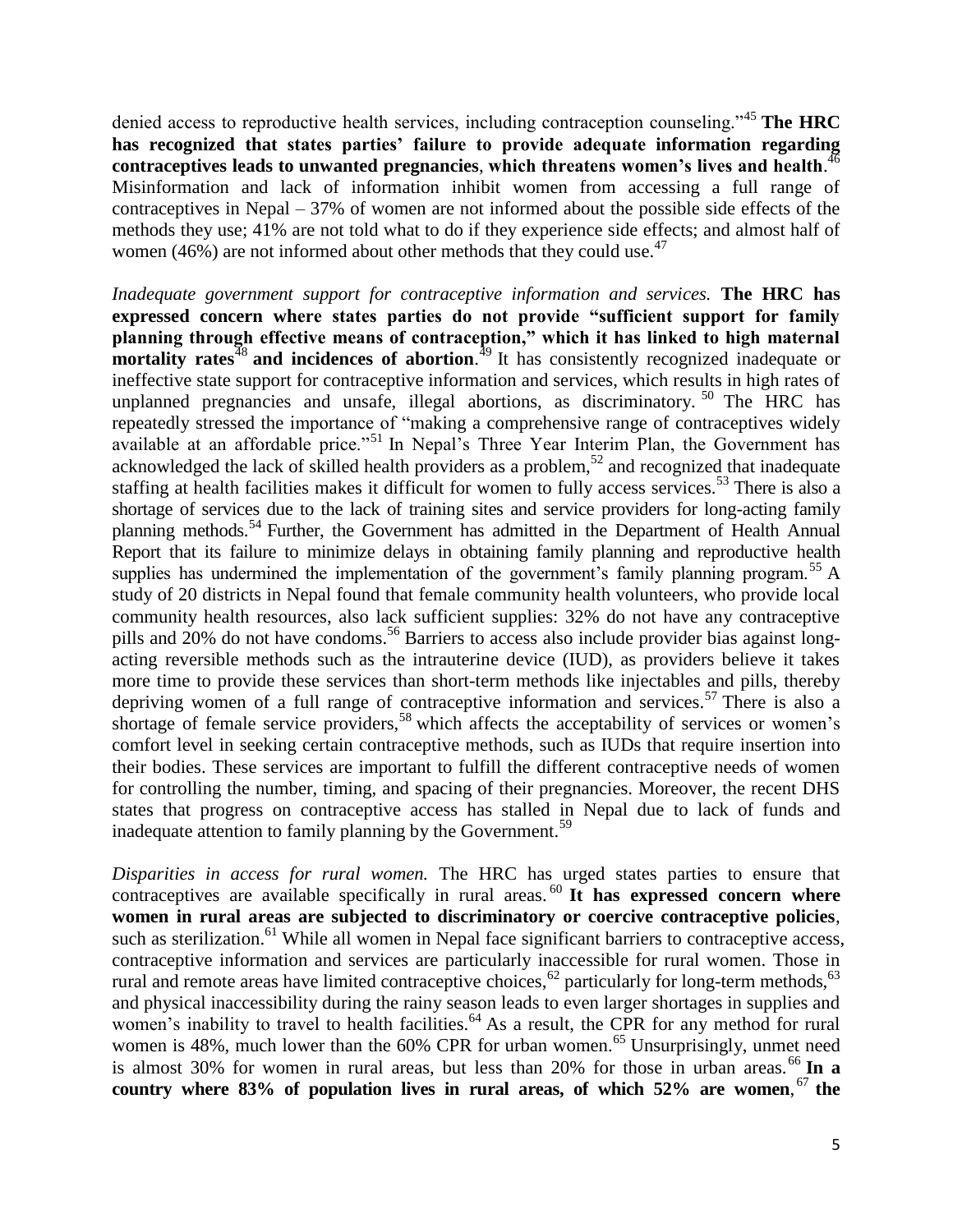denied access to reproductive health services, including contraception counseling."<sup>45</sup> **The HRC has recognized that states parties' failure to provide adequate information regarding contraceptives leads to unwanted pregnancies**, **which threatens women's lives and health**. 46 Misinformation and lack of information inhibit women from accessing a full range of contraceptives in Nepal – 37% of women are not informed about the possible side effects of the methods they use; 41% are not told what to do if they experience side effects; and almost half of women (46%) are not informed about other methods that they could use.<sup>47</sup>

*Inadequate government support for contraceptive information and services.* **The HRC has expressed concern where states parties do not provide "sufficient support for family planning through effective means of contraception," which it has linked to high maternal mortality rates**<sup>48</sup> and incidences of abortion.<sup>49</sup> It has consistently recognized inadequate or ineffective state support for contraceptive information and services, which results in high rates of unplanned pregnancies and unsafe, illegal abortions, as discriminatory.<sup>50</sup> The HRC has repeatedly stressed the importance of "making a comprehensive range of contraceptives widely available at an affordable price."<sup>51</sup> In Nepal's Three Year Interim Plan, the Government has acknowledged the lack of skilled health providers as a problem,<sup>52</sup> and recognized that inadequate staffing at health facilities makes it difficult for women to fully access services.<sup>53</sup> There is also a shortage of services due to the lack of training sites and service providers for long-acting family planning methods.<sup>54</sup> Further, the Government has admitted in the Department of Health Annual Report that its failure to minimize delays in obtaining family planning and reproductive health supplies has undermined the implementation of the government's family planning program.<sup>55</sup> A study of 20 districts in Nepal found that female community health volunteers, who provide local community health resources, also lack sufficient supplies: 32% do not have any contraceptive pills and 20% do not have condoms.<sup>56</sup> Barriers to access also include provider bias against longacting reversible methods such as the intrauterine device (IUD), as providers believe it takes more time to provide these services than short-term methods like injectables and pills, thereby depriving women of a full range of contraceptive information and services.<sup>57</sup> There is also a shortage of female service providers,<sup>58</sup> which affects the acceptability of services or women's comfort level in seeking certain contraceptive methods, such as IUDs that require insertion into their bodies. These services are important to fulfill the different contraceptive needs of women for controlling the number, timing, and spacing of their pregnancies. Moreover, the recent DHS states that progress on contraceptive access has stalled in Nepal due to lack of funds and inadequate attention to family planning by the Government.<sup>59</sup>

*Disparities in access for rural women.* The HRC has urged states parties to ensure that contraceptives are available specifically in rural areas.<sup>60</sup> It has expressed concern where **women in rural areas are subjected to discriminatory or coercive contraceptive policies**, such as sterilization.<sup>61</sup> While all women in Nepal face significant barriers to contraceptive access, contraceptive information and services are particularly inaccessible for rural women. Those in rural and remote areas have limited contraceptive choices,  $62$  particularly for long-term methods,  $63$ and physical inaccessibility during the rainy season leads to even larger shortages in supplies and women's inability to travel to health facilities.<sup>64</sup> As a result, the CPR for any method for rural women is  $48\%$ , much lower than the  $60\%$  CPR for urban women.<sup>65</sup> Unsurprisingly, unmet need is almost 30% for women in rural areas, but less than 20% for those in urban areas.<sup>66</sup> In a **country where 83% of population lives in rural areas, of which 52% are women**, <sup>67</sup> **the**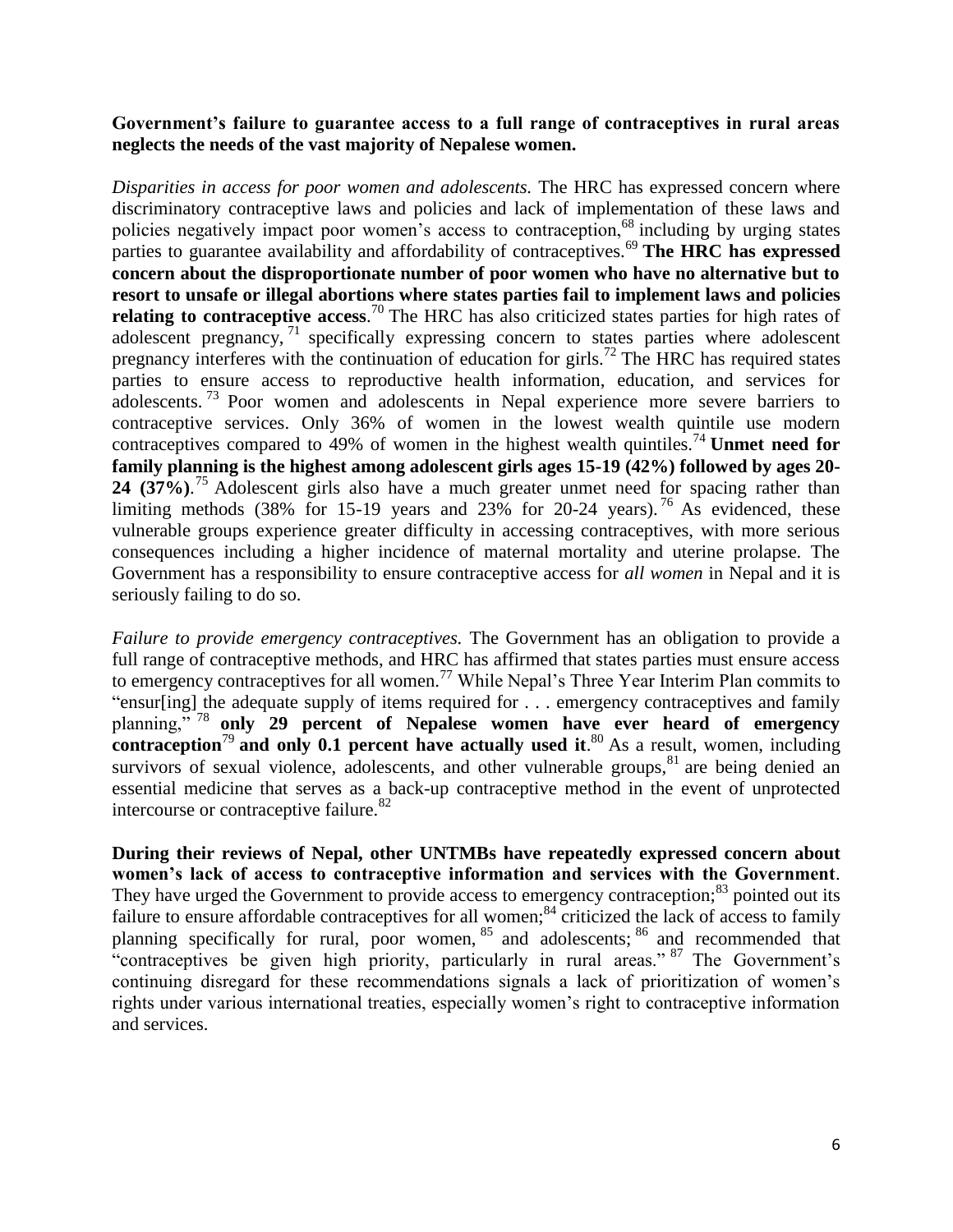**Government's failure to guarantee access to a full range of contraceptives in rural areas neglects the needs of the vast majority of Nepalese women.**

*Disparities in access for poor women and adolescents.* The HRC has expressed concern where discriminatory contraceptive laws and policies and lack of implementation of these laws and policies negatively impact poor women's access to contraception,<sup>68</sup> including by urging states parties to guarantee availability and affordability of contraceptives.<sup>69</sup> The HRC has expressed **concern about the disproportionate number of poor women who have no alternative but to resort to unsafe or illegal abortions where states parties fail to implement laws and policies**  relating to contraceptive access.<sup>70</sup> The HRC has also criticized states parties for high rates of adolescent pregnancy, <sup>71</sup> specifically expressing concern to states parties where adolescent pregnancy interferes with the continuation of education for girls.<sup>72</sup> The HRC has required states parties to ensure access to reproductive health information, education, and services for adolescents.<sup>73</sup> Poor women and adolescents in Nepal experience more severe barriers to contraceptive services. Only 36% of women in the lowest wealth quintile use modern contraceptives compared to  $49\%$  of women in the highest wealth quintiles.<sup>74</sup> **Unmet need for family planning is the highest among adolescent girls ages 15-19 (42%) followed by ages 20- 24 (37%)**. <sup>75</sup> Adolescent girls also have a much greater unmet need for spacing rather than limiting methods (38% for 15-19 years and 23% for 20-24 years). <sup>76</sup> As evidenced, these vulnerable groups experience greater difficulty in accessing contraceptives, with more serious consequences including a higher incidence of maternal mortality and uterine prolapse. The Government has a responsibility to ensure contraceptive access for *all women* in Nepal and it is seriously failing to do so.

*Failure to provide emergency contraceptives.* The Government has an obligation to provide a full range of contraceptive methods, and HRC has affirmed that states parties must ensure access to emergency contraceptives for all women.<sup>77</sup> While Nepal's Three Year Interim Plan commits to "ensur[ing] the adequate supply of items required for . . . emergency contraceptives and family planning," <sup>78</sup> **only 29 percent of Nepalese women have ever heard of emergency contraception**<sup>79</sup> and only 0.1 percent have actually used it.<sup>80</sup> As a result, women, including survivors of sexual violence, adolescents, and other vulnerable groups,  $81$  are being denied an essential medicine that serves as a back-up contraceptive method in the event of unprotected intercourse or contraceptive failure.<sup>82</sup>

**During their reviews of Nepal, other UNTMBs have repeatedly expressed concern about women's lack of access to contraceptive information and services with the Government**. They have urged the Government to provide access to emergency contraception;<sup>83</sup> pointed out its failure to ensure affordable contraceptives for all women;<sup>84</sup> criticized the lack of access to family planning specifically for rural, poor women, <sup>85</sup> and adolescents; <sup>86</sup> and recommended that "contraceptives be given high priority, particularly in rural areas." <sup>87</sup> The Government's continuing disregard for these recommendations signals a lack of prioritization of women's rights under various international treaties, especially women's right to contraceptive information and services.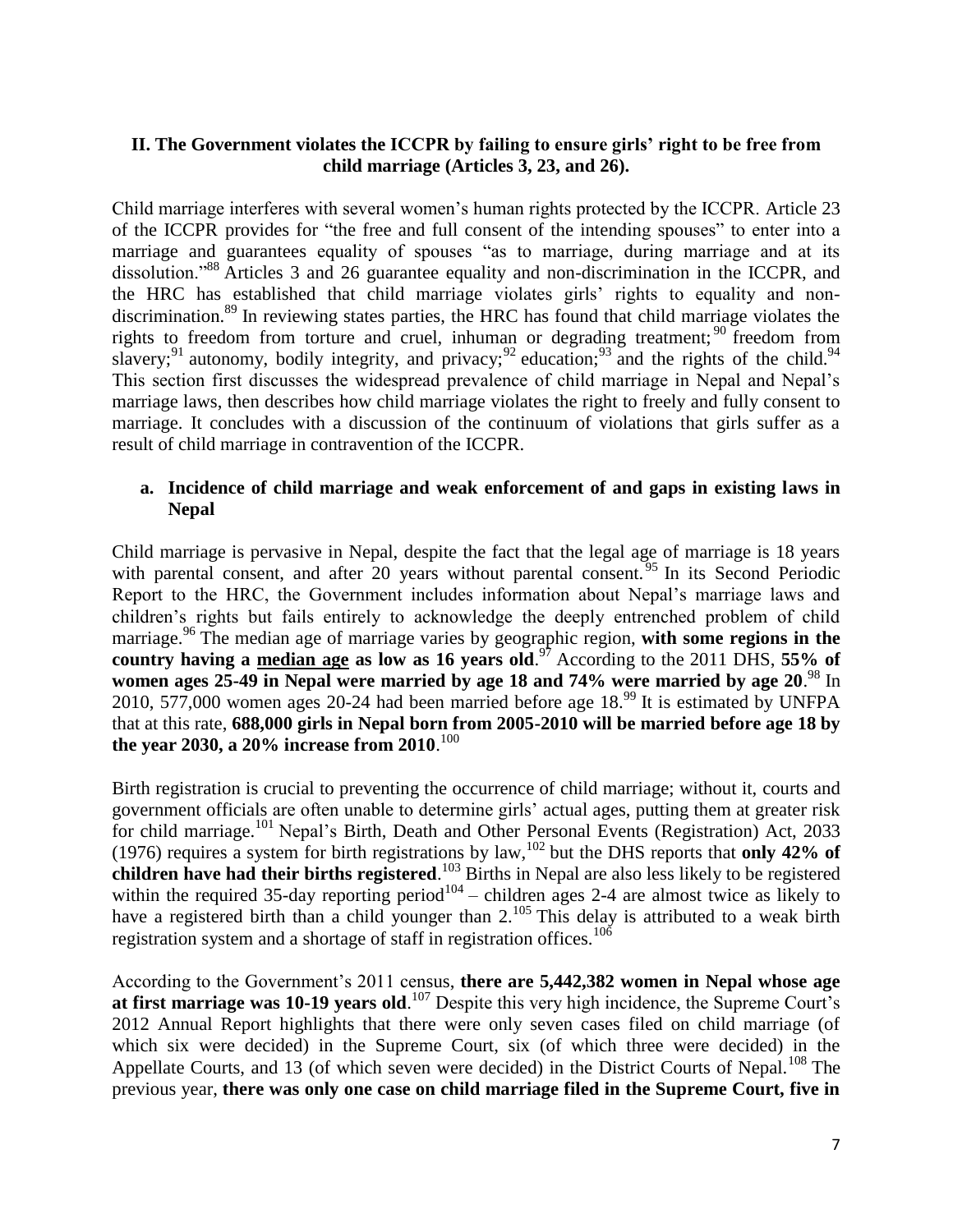### **II. The Government violates the ICCPR by failing to ensure girls' right to be free from child marriage (Articles 3, 23, and 26).**

Child marriage interferes with several women's human rights protected by the ICCPR. Article 23 of the ICCPR provides for "the free and full consent of the intending spouses" to enter into a marriage and guarantees equality of spouses "as to marriage, during marriage and at its dissolution."<sup>88</sup> Articles 3 and 26 guarantee equality and non-discrimination in the ICCPR, and the HRC has established that child marriage violates girls' rights to equality and nondiscrimination.<sup>89</sup> In reviewing states parties, the HRC has found that child marriage violates the rights to freedom from torture and cruel, inhuman or degrading treatment; <sup>90</sup> freedom from slavery;<sup>91</sup> autonomy, bodily integrity, and privacy;<sup>92</sup> education;<sup>93</sup> and the rights of the child.<sup>94</sup> This section first discusses the widespread prevalence of child marriage in Nepal and Nepal's marriage laws, then describes how child marriage violates the right to freely and fully consent to marriage. It concludes with a discussion of the continuum of violations that girls suffer as a result of child marriage in contravention of the ICCPR.

#### **a. Incidence of child marriage and weak enforcement of and gaps in existing laws in Nepal**

Child marriage is pervasive in Nepal, despite the fact that the legal age of marriage is 18 years with parental consent, and after 20 years without parental consent. <sup>95</sup> In its Second Periodic Report to the HRC, the Government includes information about Nepal's marriage laws and children's rights but fails entirely to acknowledge the deeply entrenched problem of child marriage.<sup>96</sup> The median age of marriage varies by geographic region, with some regions in the **country having a median age as low as 16 years old**. <sup>97</sup> According to the 2011 DHS, **55% of women ages 25-49 in Nepal were married by age 18 and 74% were married by age 20**. <sup>98</sup> In 2010, 577,000 women ages 20-24 had been married before age  $18.<sup>99</sup>$  It is estimated by UNFPA that at this rate, **688,000 girls in Nepal born from 2005-2010 will be married before age 18 by the year 2030, a 20% increase from 2010**. 100

Birth registration is crucial to preventing the occurrence of child marriage; without it, courts and government officials are often unable to determine girls' actual ages, putting them at greater risk for child marriage.<sup>101</sup> Nepal's Birth, Death and Other Personal Events (Registration) Act, 2033 (1976) requires a system for birth registrations by law,<sup>102</sup> but the DHS reports that **only 42% of children have had their births registered**. <sup>103</sup> Births in Nepal are also less likely to be registered within the required 35-day reporting period<sup>104</sup> – children ages 2-4 are almost twice as likely to have a registered birth than a child younger than  $2^{105}$  This delay is attributed to a weak birth registration system and a shortage of staff in registration offices.<sup>106</sup>

According to the Government's 2011 census, **there are 5,442,382 women in Nepal whose age**  at first marriage was 10-19 years old.<sup>107</sup> Despite this very high incidence, the Supreme Court's 2012 Annual Report highlights that there were only seven cases filed on child marriage (of which six were decided) in the Supreme Court, six (of which three were decided) in the Appellate Courts, and 13 (of which seven were decided) in the District Courts of Nepal.<sup>108</sup> The previous year, **there was only one case on child marriage filed in the Supreme Court, five in**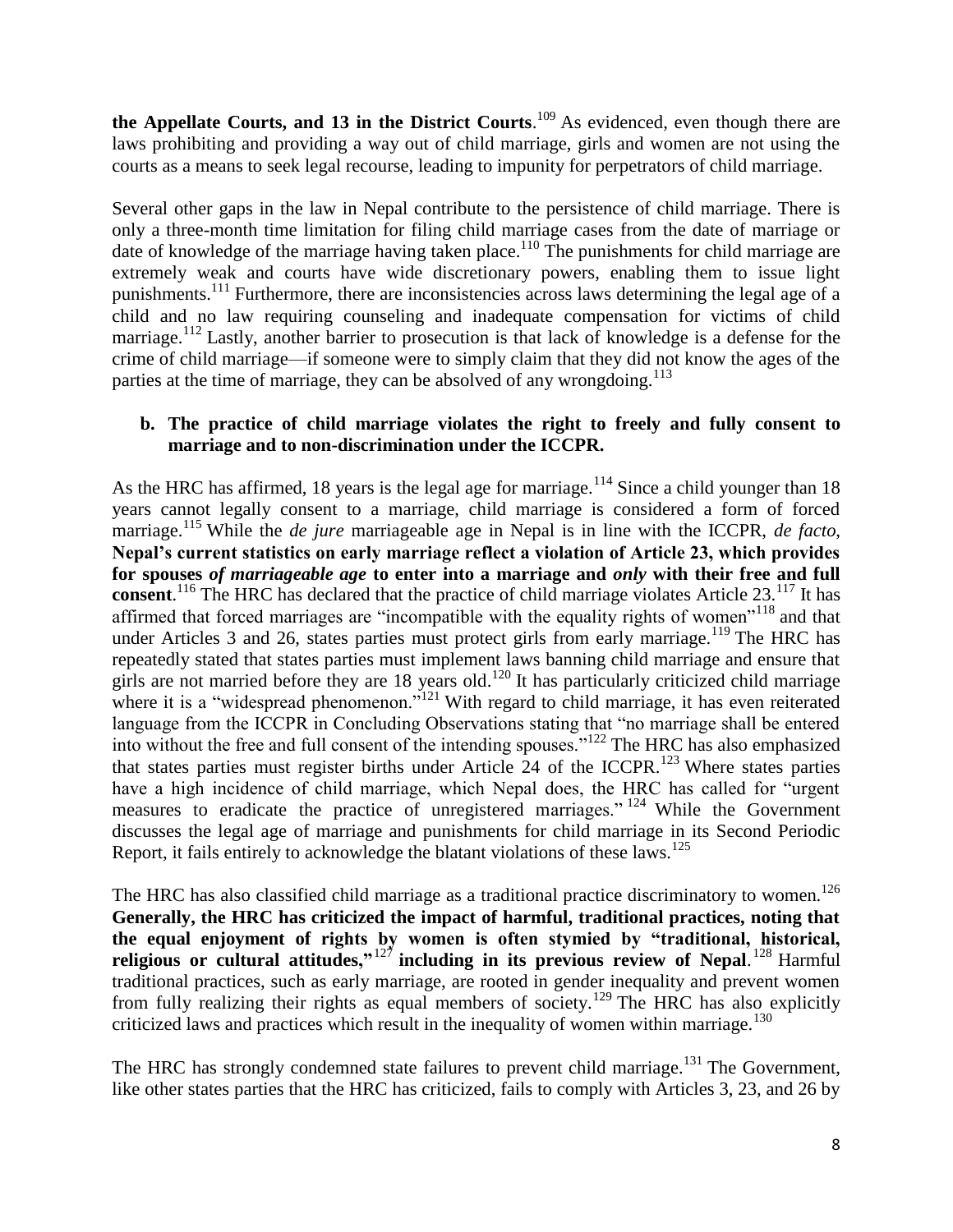**the Appellate Courts, and 13 in the District Courts**. <sup>109</sup> As evidenced, even though there are laws prohibiting and providing a way out of child marriage, girls and women are not using the courts as a means to seek legal recourse, leading to impunity for perpetrators of child marriage.

Several other gaps in the law in Nepal contribute to the persistence of child marriage. There is only a three-month time limitation for filing child marriage cases from the date of marriage or date of knowledge of the marriage having taken place.<sup>110</sup> The punishments for child marriage are extremely weak and courts have wide discretionary powers, enabling them to issue light punishments.<sup>111</sup> Furthermore, there are inconsistencies across laws determining the legal age of a child and no law requiring counseling and inadequate compensation for victims of child marriage.<sup>112</sup> Lastly, another barrier to prosecution is that lack of knowledge is a defense for the crime of child marriage—if someone were to simply claim that they did not know the ages of the parties at the time of marriage, they can be absolved of any wrongdoing.<sup>113</sup>

### **b. The practice of child marriage violates the right to freely and fully consent to marriage and to non-discrimination under the ICCPR.**

As the HRC has affirmed, 18 years is the legal age for marriage.<sup>114</sup> Since a child younger than 18 years cannot legally consent to a marriage, child marriage is considered a form of forced marriage.<sup>115</sup> While the *de jure* marriageable age in Nepal is in line with the ICCPR, *de facto*, **Nepal's current statistics on early marriage reflect a violation of Article 23, which provides for spouses** *of marriageable age* **to enter into a marriage and** *only* **with their free and full**  consent.<sup>116</sup> The HRC has declared that the practice of child marriage violates Article 23.<sup>117</sup> It has affirmed that forced marriages are "incompatible with the equality rights of women"<sup>118</sup> and that under Articles 3 and 26, states parties must protect girls from early marriage.<sup>119</sup> The HRC has repeatedly stated that states parties must implement laws banning child marriage and ensure that girls are not married before they are 18 years old.<sup>120</sup> It has particularly criticized child marriage where it is a "widespread phenomenon."<sup>121</sup> With regard to child marriage, it has even reiterated language from the ICCPR in Concluding Observations stating that "no marriage shall be entered into without the free and full consent of the intending spouses."<sup>122</sup> The HRC has also emphasized that states parties must register births under Article 24 of the ICCPR.<sup>123</sup> Where states parties have a high incidence of child marriage, which Nepal does, the HRC has called for "urgent measures to eradicate the practice of unregistered marriages." <sup>124</sup> While the Government discusses the legal age of marriage and punishments for child marriage in its Second Periodic Report, it fails entirely to acknowledge the blatant violations of these laws.<sup>125</sup>

The HRC has also classified child marriage as a traditional practice discriminatory to women.<sup>126</sup> **Generally, the HRC has criticized the impact of harmful, traditional practices, noting that the equal enjoyment of rights by women is often stymied by "traditional, historical, religious or cultural attitudes,"**<sup>127</sup> **including in its previous review of Nepal**. <sup>128</sup> Harmful traditional practices, such as early marriage, are rooted in gender inequality and prevent women from fully realizing their rights as equal members of society.<sup>129</sup> The HRC has also explicitly criticized laws and practices which result in the inequality of women within marriage.<sup>130</sup>

The HRC has strongly condemned state failures to prevent child marriage.<sup>131</sup> The Government, like other states parties that the HRC has criticized, fails to comply with Articles 3, 23, and 26 by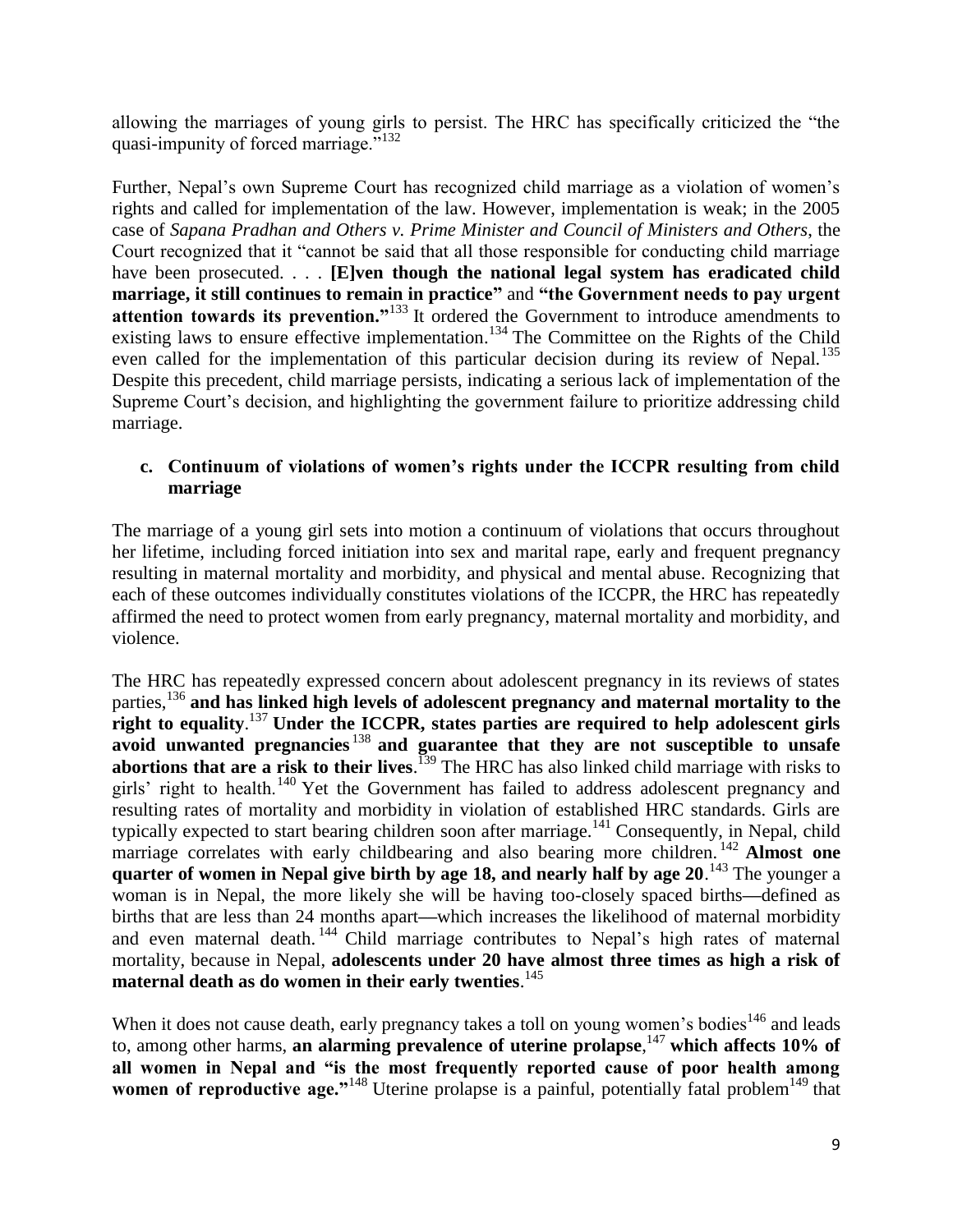allowing the marriages of young girls to persist. The HRC has specifically criticized the "the quasi-impunity of forced marriage."<sup>132</sup>

Further, Nepal's own Supreme Court has recognized child marriage as a violation of women's rights and called for implementation of the law. However, implementation is weak; in the 2005 case of *Sapana Pradhan and Others v. Prime Minister and Council of Ministers and Others*, the Court recognized that it "cannot be said that all those responsible for conducting child marriage have been prosecuted. . . . [E]ven though the national legal system has eradicated child **marriage, it still continues to remain in practice"** and **"the Government needs to pay urgent attention towards its prevention."**<sup>133</sup> It ordered the Government to introduce amendments to existing laws to ensure effective implementation.<sup>134</sup> The Committee on the Rights of the Child even called for the implementation of this particular decision during its review of Nepal.<sup>135</sup> Despite this precedent, child marriage persists, indicating a serious lack of implementation of the Supreme Court's decision, and highlighting the government failure to prioritize addressing child marriage.

## **c. Continuum of violations of women's rights under the ICCPR resulting from child marriage**

The marriage of a young girl sets into motion a continuum of violations that occurs throughout her lifetime, including forced initiation into sex and marital rape, early and frequent pregnancy resulting in maternal mortality and morbidity, and physical and mental abuse. Recognizing that each of these outcomes individually constitutes violations of the ICCPR, the HRC has repeatedly affirmed the need to protect women from early pregnancy, maternal mortality and morbidity, and violence.

The HRC has repeatedly expressed concern about adolescent pregnancy in its reviews of states parties,<sup>136</sup> **and has linked high levels of adolescent pregnancy and maternal mortality to the right to equality**. <sup>137</sup> **Under the ICCPR, states parties are required to help adolescent girls avoid unwanted pregnancies** <sup>138</sup> **and guarantee that they are not susceptible to unsafe abortions that are a risk to their lives**. <sup>139</sup> The HRC has also linked child marriage with risks to girls' right to health.<sup>140</sup> Yet the Government has failed to address adolescent pregnancy and resulting rates of mortality and morbidity in violation of established HRC standards. Girls are typically expected to start bearing children soon after marriage.<sup>141</sup> Consequently, in Nepal, child marriage correlates with early childbearing and also bearing more children.<sup>142</sup> **Almost one** quarter of women in Nepal give birth by age 18, and nearly half by age 20.<sup>143</sup> The younger a woman is in Nepal, the more likely she will be having too-closely spaced births**––**defined as births that are less than 24 months apart**––**which increases the likelihood of maternal morbidity and even maternal death.<sup>144</sup> Child marriage contributes to Nepal's high rates of maternal mortality, because in Nepal, **adolescents under 20 have almost three times as high a risk of maternal death as do women in their early twenties**. 145

When it does not cause death, early pregnancy takes a toll on young women's bodies<sup>146</sup> and leads to, among other harms, an alarming prevalence of uterine prolapse,<sup>147</sup> which affects 10% of **all women in Nepal and "is the most frequently reported cause of poor health among women of reproductive age."**<sup>148</sup> Uterine prolapse is a painful, potentially fatal problem<sup>149</sup> that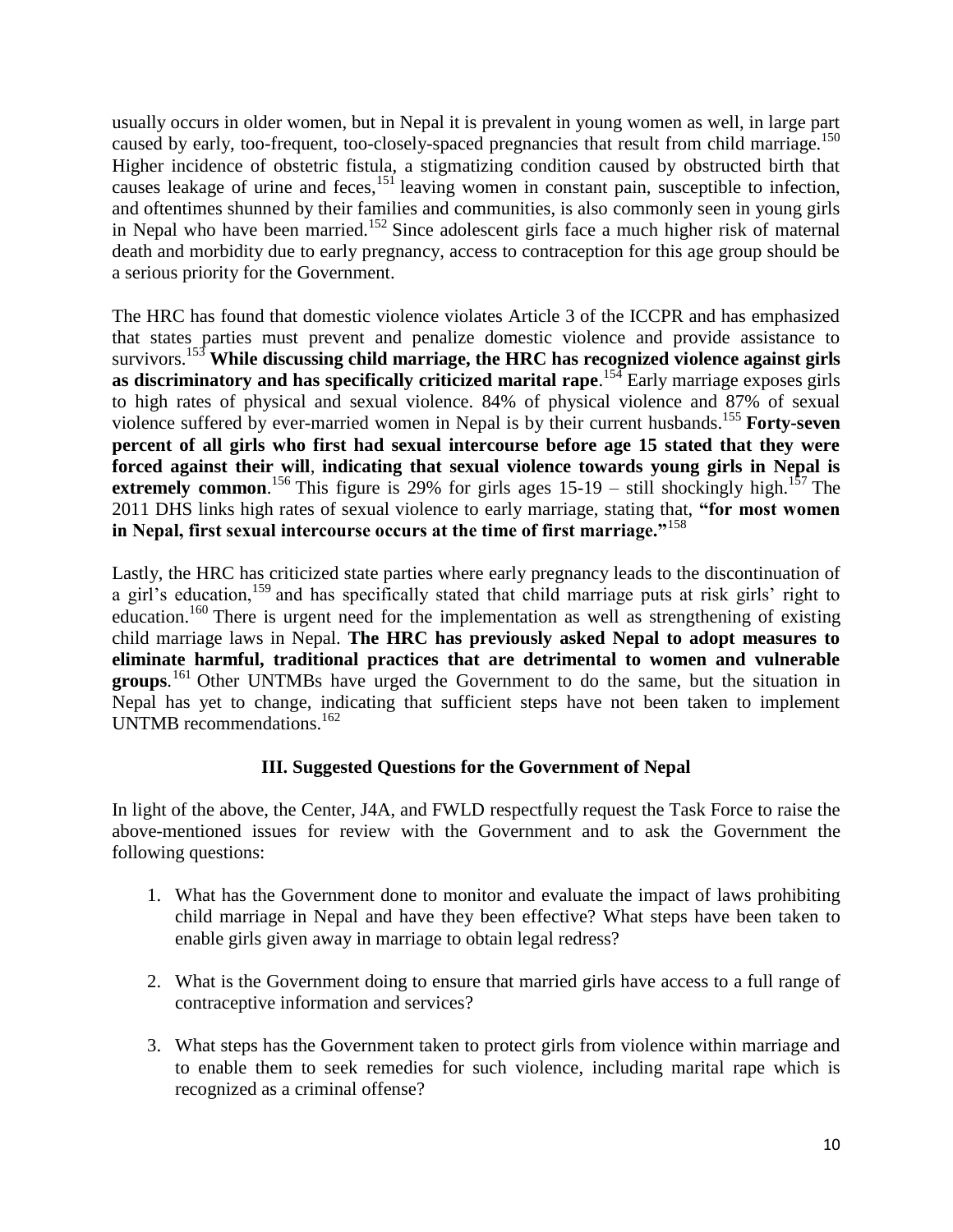usually occurs in older women, but in Nepal it is prevalent in young women as well, in large part caused by early, too-frequent, too-closely-spaced pregnancies that result from child marriage.<sup>150</sup> Higher incidence of obstetric fistula, a stigmatizing condition caused by obstructed birth that causes leakage of urine and feces,<sup>151</sup> leaving women in constant pain, susceptible to infection, and oftentimes shunned by their families and communities, is also commonly seen in young girls in Nepal who have been married.<sup>152</sup> Since adolescent girls face a much higher risk of maternal death and morbidity due to early pregnancy, access to contraception for this age group should be a serious priority for the Government.

The HRC has found that domestic violence violates Article 3 of the ICCPR and has emphasized that states parties must prevent and penalize domestic violence and provide assistance to survivors.<sup>153</sup> **While discussing child marriage, the HRC has recognized violence against girls**  as discriminatory and has specifically criticized marital rape.<sup>154</sup> Early marriage exposes girls to high rates of physical and sexual violence. 84% of physical violence and 87% of sexual violence suffered by ever-married women in Nepal is by their current husbands.<sup>155</sup> Forty-seven **percent of all girls who first had sexual intercourse before age 15 stated that they were forced against their will**, **indicating that sexual violence towards young girls in Nepal is extremely common.** <sup>156</sup> This figure is 29% for girls ages  $15{\text -}19$  – still shockingly high.<sup>157</sup> The 2011 DHS links high rates of sexual violence to early marriage, stating that, **"for most women in Nepal, first sexual intercourse occurs at the time of first marriage."**<sup>158</sup>

Lastly, the HRC has criticized state parties where early pregnancy leads to the discontinuation of a girl's education,<sup>159</sup> and has specifically stated that child marriage puts at risk girls' right to education.<sup>160</sup> There is urgent need for the implementation as well as strengthening of existing child marriage laws in Nepal. **The HRC has previously asked Nepal to adopt measures to eliminate harmful, traditional practices that are detrimental to women and vulnerable groups**. <sup>161</sup> Other UNTMBs have urged the Government to do the same, but the situation in Nepal has yet to change, indicating that sufficient steps have not been taken to implement UNTMB recommendations.<sup>162</sup>

### **III. Suggested Questions for the Government of Nepal**

In light of the above, the Center, J4A, and FWLD respectfully request the Task Force to raise the above-mentioned issues for review with the Government and to ask the Government the following questions:

- 1. What has the Government done to monitor and evaluate the impact of laws prohibiting child marriage in Nepal and have they been effective? What steps have been taken to enable girls given away in marriage to obtain legal redress?
- 2. What is the Government doing to ensure that married girls have access to a full range of contraceptive information and services?
- 3. What steps has the Government taken to protect girls from violence within marriage and to enable them to seek remedies for such violence, including marital rape which is recognized as a criminal offense?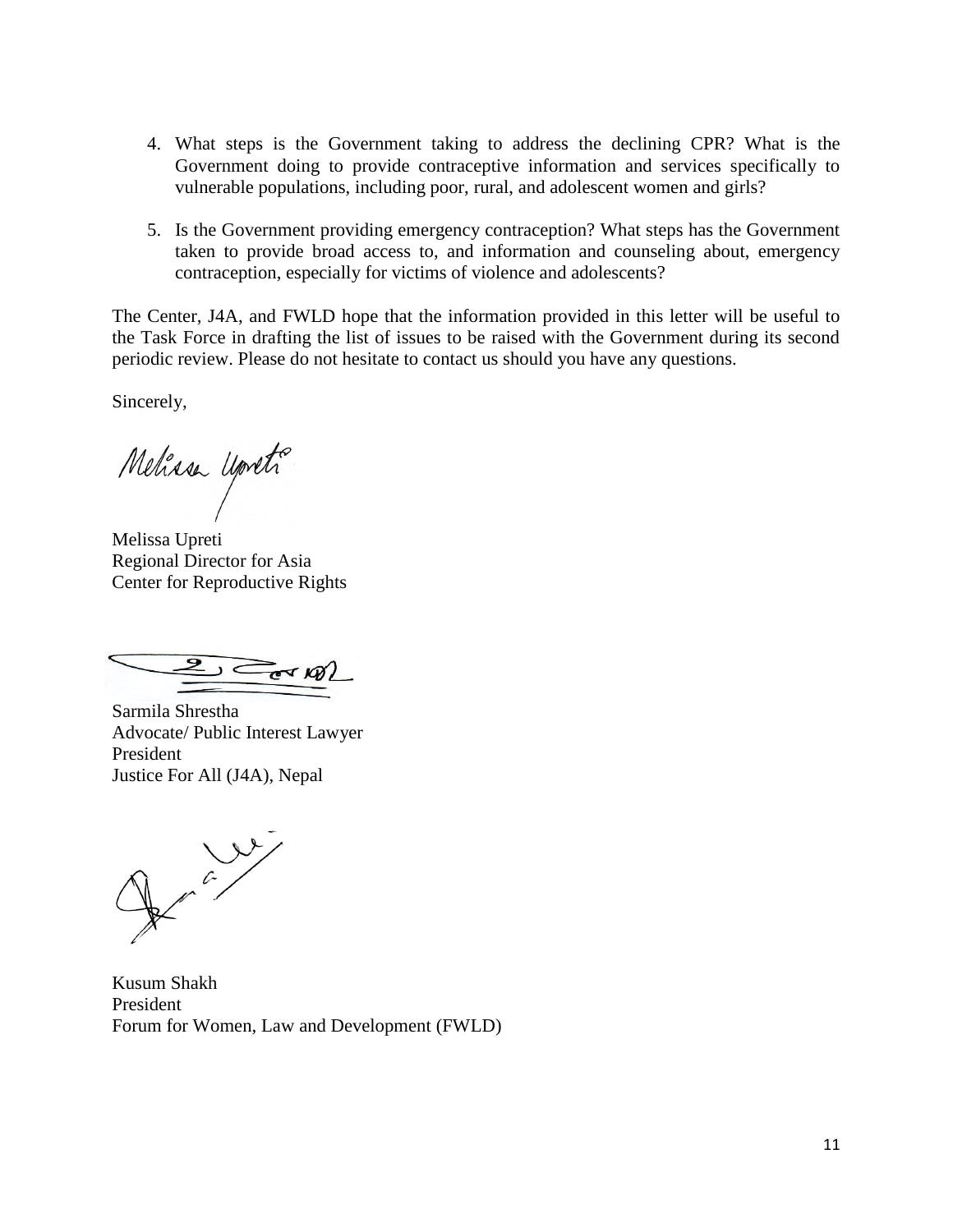- 4. What steps is the Government taking to address the declining CPR? What is the Government doing to provide contraceptive information and services specifically to vulnerable populations, including poor, rural, and adolescent women and girls?
- 5. Is the Government providing emergency contraception? What steps has the Government taken to provide broad access to, and information and counseling about, emergency contraception, especially for victims of violence and adolescents?

The Center, J4A, and FWLD hope that the information provided in this letter will be useful to the Task Force in drafting the list of issues to be raised with the Government during its second periodic review. Please do not hesitate to contact us should you have any questions.

Sincerely,

Mehasa Upreti

Melissa Upreti Regional Director for Asia Center for Reproductive Rights

 $\sum$  and  $\mathscr{A}$ 

Sarmila Shrestha Advocate/ Public Interest Lawyer President Justice For All (J4A), Nepal

 $\sqrt{\frac{2}{\pi}}$ 

Kusum Shakh President Forum for Women, Law and Development (FWLD)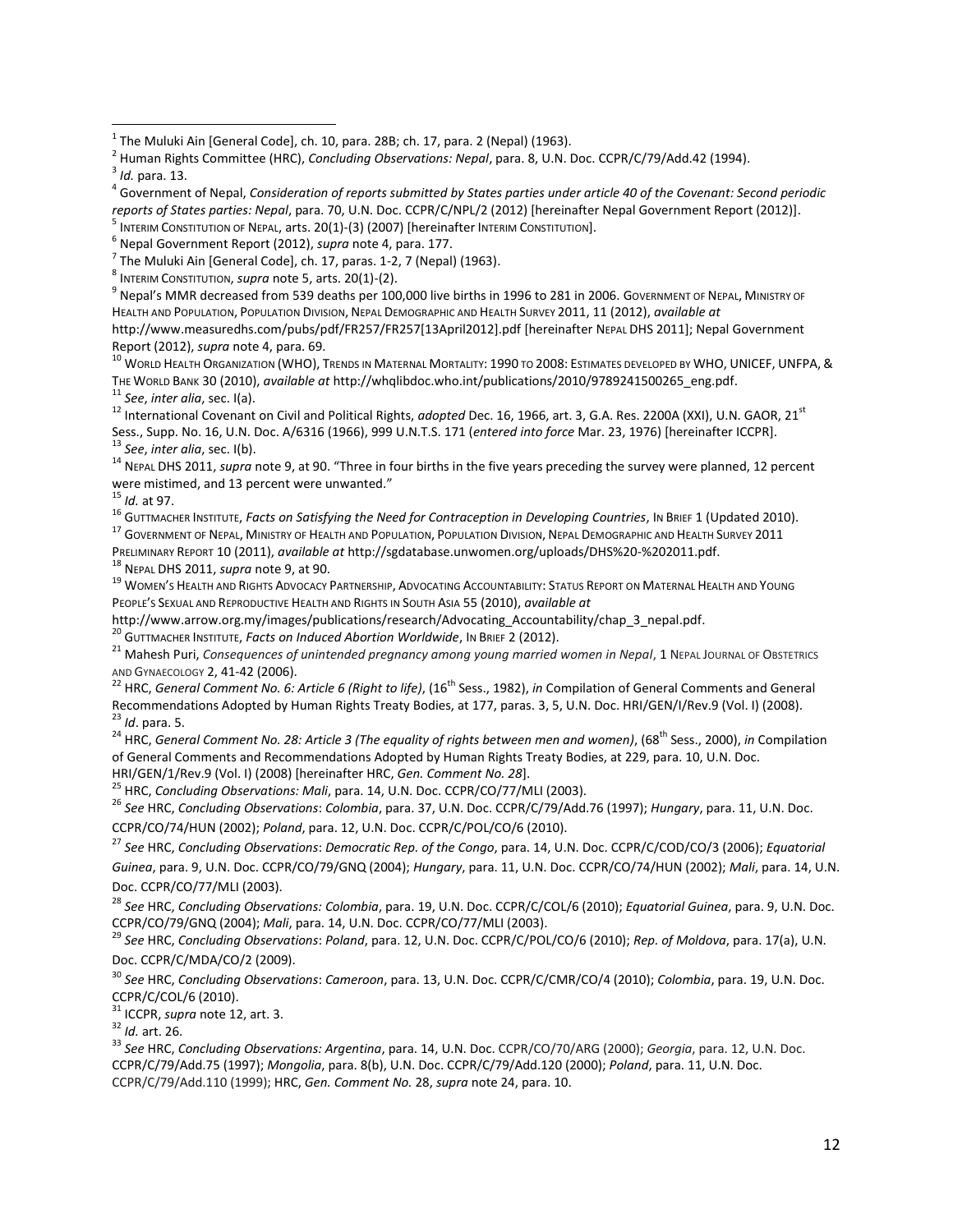$^9$  Nepal's MMR decreased from 539 deaths per 100,000 live births in 1996 to 281 in 2006. GovERNMENT OF NEPAL, MINISTRY OF HEALTH AND POPULATION, POPULATION DIVISION, NEPAL DEMOGRAPHIC AND HEALTH SURVEY 2011, 11 (2012), *available at*  [http://www.measuredhs.com/pubs/pdf/FR257/FR257\[13April2012\].pdf](http://www.measuredhs.com/pubs/pdf/FR257/FR257%5b13April2012%5d.pdf) [hereinafter NEPAL DHS 2011]; Nepal Government Report (2012), *supra* note 4, para. 69.

<sup>10</sup> World Health Organization (WHO), Trends in Maternal Mortality: 1990 to 2008: Estimates developed by WHO, UNICEF, UNFPA, & THE WORLD BANK 30 (2010), *available at* [http://whqlibdoc.who.int/publications/2010/9789241500265\\_eng.pdf.](http://whqlibdoc.who.int/publications/2010/9789241500265_eng.pdf) <sup>11</sup> *See*, *inter alia*, sec. I(a).

<sup>12</sup> International Covenant on Civil and Political Rights, *adopted* Dec. 16, 1966, art. 3, G.A. Res. 2200A (XXI), U.N. GAOR, 21<sup>st</sup> Sess., Supp. No. 16, U.N. Doc. A/6316 (1966), 999 U.N.T.S. 171 (*entered into force* Mar. 23, 1976) [hereinafter ICCPR]. <sup>13</sup> *See*, *inter alia*, sec. I(b).

<sup>14</sup> NEPAL DHS 2011, *supra* note 9, at 90. "Three in four births in the five years preceding the survey were planned, 12 percent were mistimed, and 13 percent were unwanted."

<sup>15</sup> *Id.* at 97.

16 GUTTMACHER INSTITUTE, *Facts on Satisfying the Need for Contraception in Developing Countries*, In BRIEF 1 (Updated 2010).

<sup>17</sup> GOVERNMENT OF NEPAL, MINISTRY OF HEALTH AND POPULATION, POPULATION DIVISION, NEPAL DEMOGRAPHIC AND HEALTH SURVEY 2011

PRELIMINARY REPORT 10 (2011), *available at* http://sgdatabase.unwomen.org/uploads/DHS%20-%202011.pdf.

<sup>18</sup> NEPAL DHS 2011, *supra* note 9, at 90.

<sup>19</sup> WOMEN'S HEALTH AND RIGHTS ADVOCACY PARTNERSHIP, ADVOCATING ACCOUNTABILITY: STATUS REPORT ON MATERNAL HEALTH AND YOUNG PEOPLE'S SEXUAL AND REPRODUCTIVE HEALTH AND RIGHTS IN SOUTH ASIA 55 (2010), *available at* 

[http://www.arrow.org.my/images/publications/research/Advocating\\_Accountability/chap\\_3\\_nepal.pdf.](http://www.arrow.org.my/images/publications/research/Advocating_Accountability/chap_3_nepal.pdf)

<sup>20</sup> GUTTMACHER INSTITUTE, *Facts on Induced Abortion Worldwide*, IN BRIEF 2 (2012).

<sup>21</sup> Mahesh Puri, *Consequences of unintended pregnancy among young married women in Nepal*, 1 NEPAL JOURNAL OF OBSTETRICS AND GYNAECOLOGY 2, 41-42 (2006).

<sup>22</sup> HRC, *General Comment No. 6: Article 6 (Right to life)*, (16<sup>th</sup> Sess., 1982), *in* Compilation of General Comments and General Recommendations Adopted by Human Rights Treaty Bodies, at 177, paras. 3, 5, U.N. Doc. HRI/GEN/I/Rev.9 (Vol. I) (2008). <sup>23</sup> *Id*. para. 5.

<sup>24</sup> HRC, *General Comment No. 28: Article 3 (The equality of rights between men and women), (68<sup>th</sup> Sess., 2000), <i>in* Compilation of General Comments and Recommendations Adopted by Human Rights Treaty Bodies, at 229, para. 10, U.N. Doc.

HRI/GEN/1/Rev.9 (Vol. I) (2008) [hereinafter HRC, *Gen. Comment No. 28*]. <sup>25</sup> HRC, *Concluding Observations: Mali*, para. 14, U.N. Doc. CCPR/CO/77/MLI (2003).

<sup>26</sup> *See* HRC, *Concluding Observations*: *Colombia*, para. 37, U.N. Doc. CCPR/C/79/Add.76 (1997); *Hungary*, para. 11, U.N. Doc. CCPR/CO/74/HUN (2002); *Poland*, para. 12, U.N. Doc. CCPR/C/POL/CO/6 (2010).

<sup>27</sup> *See* HRC, *Concluding Observations*: *Democratic Rep. of the Congo*, para. 14, U.N. Doc. CCPR/C/COD/CO/3 (2006); *Equatorial Guinea*, para. 9, U.N. Doc. CCPR/CO/79/GNQ (2004); *Hungary*, para. 11, U.N. Doc. CCPR/CO/74/HUN (2002); *Mali*, para. 14, U.N. Doc. CCPR/CO/77/MLI (2003).

<sup>28</sup> *See* HRC, *Concluding Observations: Colombia*, para. 19, U.N. Doc. CCPR/C/COL/6 (2010); *Equatorial Guinea*, para. 9, U.N. Doc. CCPR/CO/79/GNQ (2004); *Mali*, para. 14, U.N. Doc. CCPR/CO/77/MLI (2003).

<sup>29</sup> *See* HRC, *Concluding Observations*: *Poland*, para. 12, U.N. Doc. CCPR/C/POL/CO/6 (2010); *Rep. of Moldova*, para. 17(a), U.N. Doc. CCPR/C/MDA/CO/2 (2009).

<sup>30</sup> *See* HRC, *Concluding Observations*: *Cameroon*, para. 13, U.N. Doc. CCPR/C/CMR/CO/4 (2010); *Colombia*, para. 19, U.N. Doc. CCPR/C/COL/6 (2010).

<sup>31</sup> ICCPR, *supra* note 12, art. 3.

<sup>32</sup> *Id.* art. 26.

<sup>33</sup> *See* HRC, *Concluding Observations: Argentina*, para. 14, U.N. Doc. CCPR/CO/70/ARG (2000); *Georgia*, para. 12, U.N. Doc. CCPR/C/79/Add.75 (1997); *Mongolia*, para. 8(b), U.N. Doc. CCPR/C/79/Add.120 (2000); *Poland*, para. 11, U.N. Doc. CCPR/C/79/Add.110 (1999); HRC, *Gen. Comment No.* 28, *supra* note 24, para. 10.

 1 The Muluki Ain [General Code], ch. 10, para. 28B; ch. 17, para. 2 (Nepal) (1963).

<sup>2</sup> Human Rights Committee (HRC), *Concluding Observations: Nepal*, para. 8, U.N. Doc. CCPR/C/79/Add.42 (1994).

<sup>3</sup> *Id.* para. 13.

<sup>4</sup> Government of Nepal, *Consideration of reports submitted by States parties under article 40 of the Covenant: Second periodic reports of States parties: Nepal*, para. 70, U.N. Doc. CCPR/C/NPL/2 (2012) [hereinafter Nepal Government Report (2012)].

 $^{\rm 5}$  INTERIM CONSTITUTION OF NEPAL, arts. 20(1)-(3) (2007) [hereinafter INTERIM CONSTITUTION].

<sup>6</sup> Nepal Government Report (2012), *supra* note 4, para. 177.

 $^7$  The Muluki Ain [General Code], ch. 17, paras. 1-2, 7 (Nepal) (1963).

<sup>8</sup> INTERIM CONSTITUTION, *supra* note 5, arts. 20(1)-(2).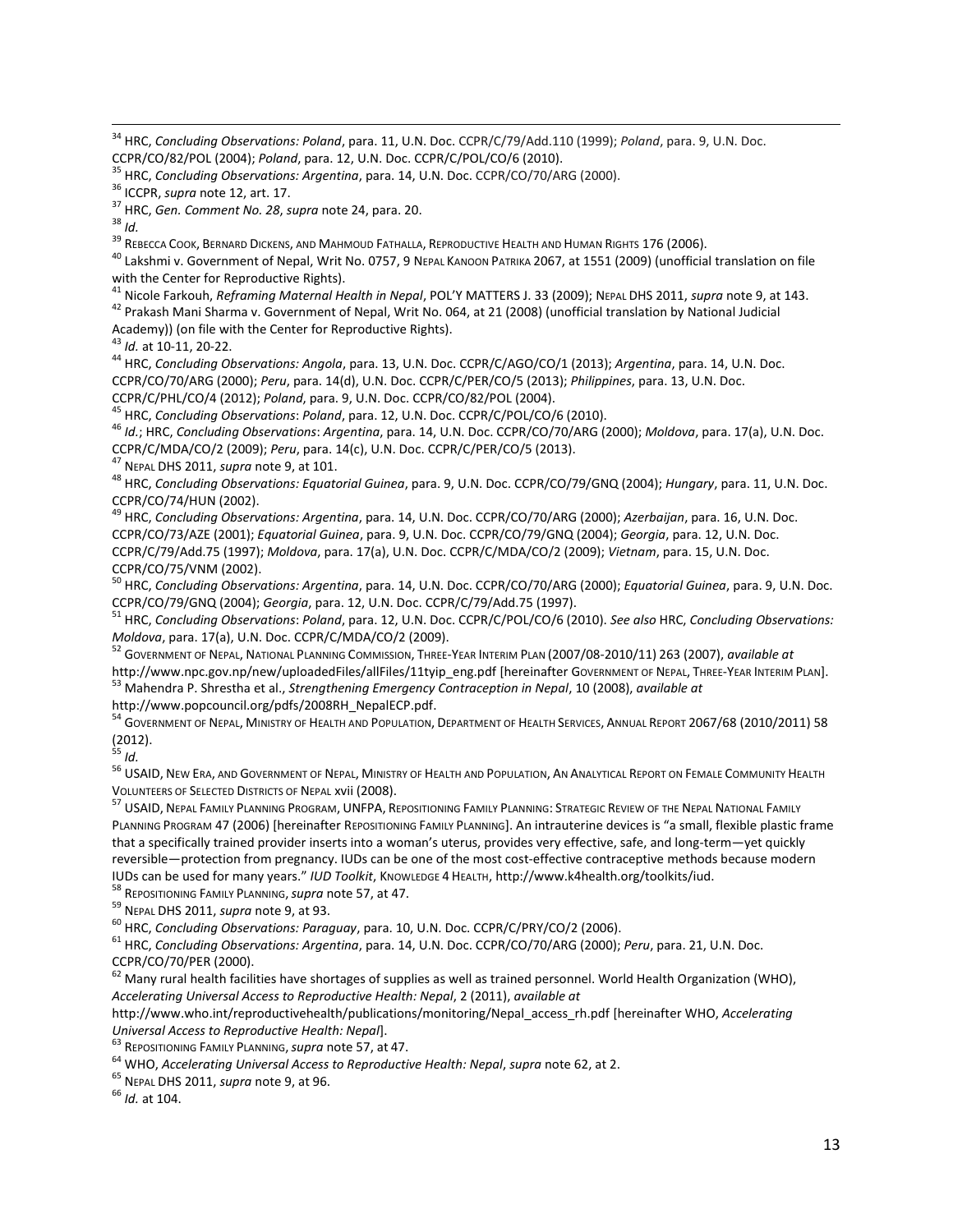<sup>39</sup> Rebecca Cook, Bernard Dickens, and Mahmoud Fathalla, Reproductive Health and Human Rights 176 (2006).

<sup>40</sup> Lakshmi v. Government of Nepal, Writ No. 0757, 9 NEPAL KANOON PATRIKA 2067, at 1551 (2009) (unofficial translation on file with the Center for Reproductive Rights).

<sup>41</sup> Nicole Farkouh, *Reframing Maternal Health in Nepal*, POL'Y MATTERS J. 33 (2009); NEPAL DHS 2011, *supra* note 9, at 143.

<sup>42</sup> Prakash Mani Sharma v. Government of Nepal, Writ No. 064, at 21 (2008) (unofficial translation by National Judicial Academy)) (on file with the Center for Reproductive Rights).

<sup>43</sup> *Id.* at 10-11, 20-22.

<sup>44</sup> HRC, *Concluding Observations: Angola*, para. 13, U.N. Doc. CCPR/C/AGO/CO/1 (2013); *Argentina*, para. 14, U.N. Doc. CCPR/CO/70/ARG (2000); *Peru*, para. 14(d), U.N. Doc. CCPR/C/PER/CO/5 (2013); *Philippines*, para. 13, U.N. Doc. CCPR/C/PHL/CO/4 (2012); *Poland*, para. 9, U.N. Doc. CCPR/CO/82/POL (2004).

<sup>45</sup> HRC, *Concluding Observations*: *Poland*, para. 12, U.N. Doc. CCPR/C/POL/CO/6 (2010).

<sup>46</sup> *Id.*; HRC, *Concluding Observations*: *Argentina*, para. 14, U.N. Doc. CCPR/CO/70/ARG (2000); *Moldova*, para. 17(a), U.N. Doc. CCPR/C/MDA/CO/2 (2009); *Peru*, para. 14(c), U.N. Doc. CCPR/C/PER/CO/5 (2013).

<sup>47</sup> NEPAL DHS 2011, *supra* note 9, at 101.

<sup>48</sup> HRC, *Concluding Observations: Equatorial Guinea*, para. 9, U.N. Doc. CCPR/CO/79/GNQ (2004); *Hungary*, para. 11, U.N. Doc. CCPR/CO/74/HUN (2002).

<sup>49</sup> HRC, *Concluding Observations: Argentina*, para. 14, U.N. Doc. CCPR/CO/70/ARG (2000); *Azerbaijan*, para. 16, U.N. Doc. CCPR/CO/73/AZE (2001); *Equatorial Guinea*, para. 9, U.N. Doc. CCPR/CO/79/GNQ (2004); *Georgia*, para. 12, U.N. Doc. CCPR/C/79/Add.75 (1997); *Moldova*, para. 17(a), U.N. Doc. CCPR/C/MDA/CO/2 (2009); *Vietnam*, para. 15, U.N. Doc. CCPR/CO/75/VNM (2002).

<sup>50</sup> HRC, *Concluding Observations: Argentina*, para. 14, U.N. Doc. CCPR/CO/70/ARG (2000); *Equatorial Guinea*, para. 9, U.N. Doc. CCPR/CO/79/GNQ (2004); *Georgia*, para. 12, U.N. Doc. CCPR/C/79/Add.75 (1997).

<sup>51</sup> HRC, *Concluding Observations*: *Poland*, para. 12, U.N. Doc. CCPR/C/POL/CO/6 (2010). *See also* HRC, *Concluding Observations: Moldova*, para. 17(a), U.N. Doc. CCPR/C/MDA/CO/2 (2009).

<sup>52</sup> GOVERNMENT OF NEPAL, NATIONAL PLANNING COMMISSION, THREE-YEAR INTERIM PLAN (2007/08-2010/11) 263 (2007), *available at*  [http://www.npc.gov.np/new/uploadedFiles/allFiles/11tyip\\_eng.pdf](http://www.npc.gov.np/new/uploadedFiles/allFiles/11tyip_eng.pdf) [hereinafter GOVERNMENT OF NEPAL, THREE-YEAR INTERIM PLAN]. <sup>53</sup> Mahendra P. Shrestha et al., *Strengthening Emergency Contraception in Nepal*, 10 (2008), *available at* 

[http://www.popcouncil.org/pdfs/2008RH\\_NepalECP.pdf.](http://www.popcouncil.org/pdfs/2008RH_NepalECP.pdf)

<sup>54</sup> GOVERNMENT OF NEPAL, MINISTRY OF HEALTH AND POPULATION, DEPARTMENT OF HEALTH SERVICES, ANNUAL REPORT 2067/68 (2010/2011) 58 (2012).

<sup>55</sup> *Id.* 

<sup>56</sup> USAID, NEW ERA, AND GOVERNMENT OF NEPAL, MINISTRY OF HEALTH AND POPULATION, AN ANALYTICAL REPORT ON FEMALE COMMUNITY HEALTH VOLUNTEERS OF SELECTED DISTRICTS OF NEPAL xvii (2008).

57 USAID, NEPAL FAMILY PLANNING PROGRAM, UNFPA, REPOSITIONING FAMILY PLANNING: STRATEGIC REVIEW OF THE NEPAL NATIONAL FAMILY PLANNING PROGRAM 47 (2006) [hereinafter REPOSITIONING FAMILY PLANNING]. An intrauterine devices is "a small, flexible plastic frame that a specifically trained provider inserts into a woman's uterus, provides very effective, safe, and long-term—yet quickly reversible—protection from pregnancy. IUDs can be one of the most cost-effective contraceptive methods because modern IUDs can be used for many years." *IUD Toolkit*, KNOWLEDGE 4 HEALTH[, http://www.k4health.org/toolkits/iud.](http://www.k4health.org/toolkits/iud)

<sup>58</sup> REPOSITIONING FAMILY PLANNING,*supra* note 57, at 47.

<sup>59</sup> NEPAL DHS 2011, *supra* note 9, at 93.

<sup>60</sup> HRC, *Concluding Observations: Paraguay*, para. 10, U.N. Doc. CCPR/C/PRY/CO/2 (2006).

<sup>61</sup> HRC, *Concluding Observations: Argentina*, para. 14, U.N. Doc. CCPR/CO/70/ARG (2000); *Peru*, para. 21, U.N. Doc. CCPR/CO/70/PER (2000).

 $62$  Many rural health facilities have shortages of supplies as well as trained personnel. World Health Organization (WHO), *Accelerating Universal Access to Reproductive Health: Nepal*, 2 (2011), *available at* 

[http://www.who.int/reproductivehealth/publications/monitoring/Nepal\\_access\\_rh.pdf](http://www.who.int/reproductivehealth/publications/monitoring/Nepal_access_rh.pdf) [hereinafter WHO, *Accelerating Universal Access to Reproductive Health: Nepal*].

<sup>63</sup> REPOSITIONING FAMILY PLANNING,*supra* note 57, at 47.

<sup>64</sup> WHO, *Accelerating Universal Access to Reproductive Health: Nepal*, *supra* note 62, at 2.

<sup>65</sup> NEPAL DHS 2011, *supra* note 9, at 96.

<sup>66</sup> *Id.* at 104.

 $\overline{\phantom{a}}$ <sup>34</sup> HRC, *Concluding Observations: Poland*, para. 11, U.N. Doc. CCPR/C/79/Add.110 (1999); *Poland*, para. 9, U.N. Doc. CCPR/CO/82/POL (2004); *Poland*, para. 12, U.N. Doc. CCPR/C/POL/CO/6 (2010).

<sup>35</sup> HRC, *Concluding Observations: Argentina*, para. 14, U.N. Doc. CCPR/CO/70/ARG (2000).

<sup>36</sup> ICCPR, *supra* note 12, art. 17.

<sup>37</sup> HRC, *Gen. Comment No. 28*, *supra* note 24, para. 20.

<sup>38</sup> *Id.*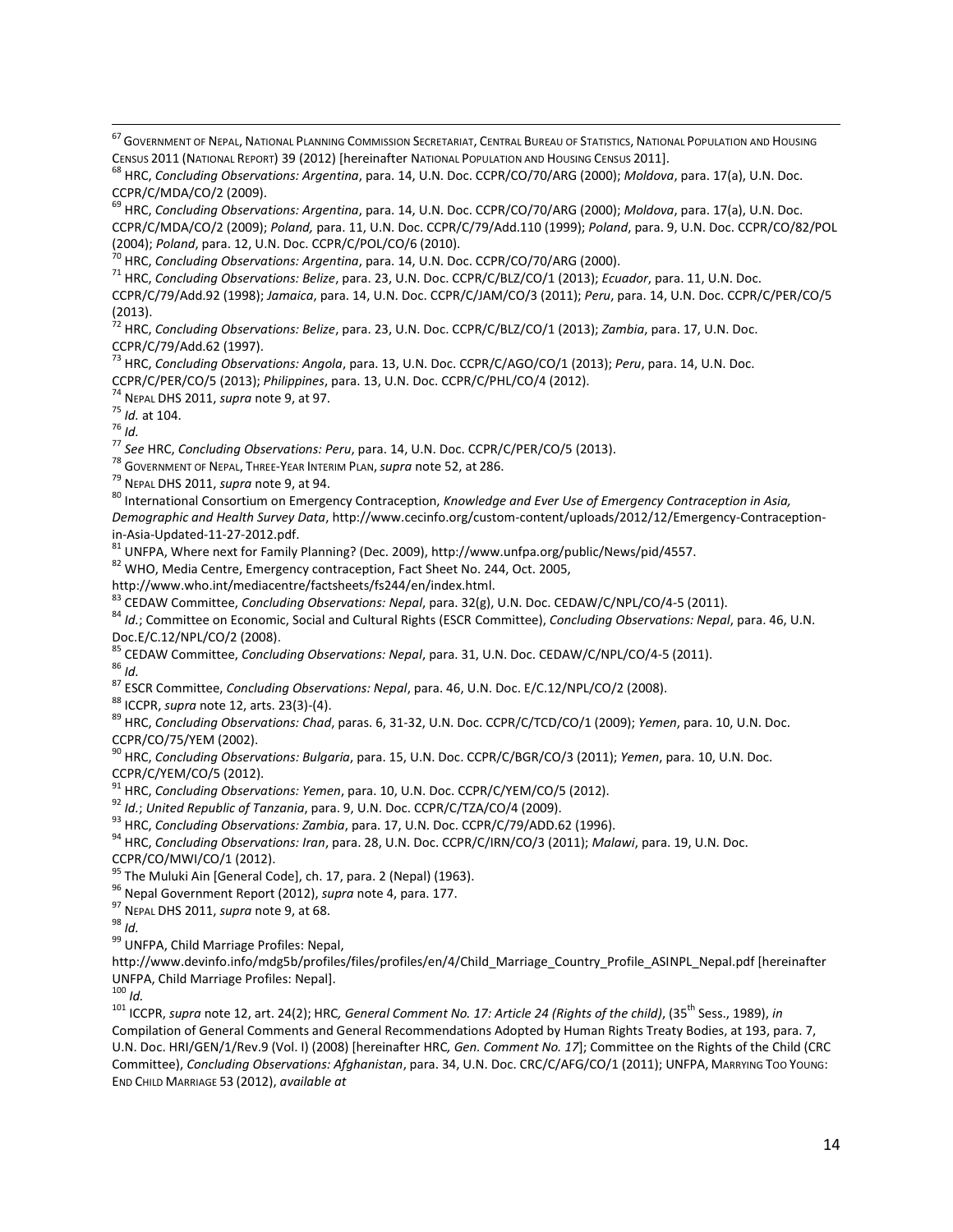<sup>67</sup> Government of Nepal, National Planning Commission Secretariat, Central Bureau of Statistics, National Population and Housing CENSUS 2011 (NATIONAL REPORT) 39 (2012) [hereinafter NATIONAL POPULATION AND HOUSING CENSUS 2011].

<sup>68</sup> HRC, *Concluding Observations: Argentina*, para. 14, U.N. Doc. CCPR/CO/70/ARG (2000); *Moldova*, para. 17(a), U.N. Doc. CCPR/C/MDA/CO/2 (2009).

<sup>69</sup> HRC, *Concluding Observations: Argentina*, para. 14, U.N. Doc. CCPR/CO/70/ARG (2000); *Moldova*, para. 17(a), U.N. Doc. CCPR/C/MDA/CO/2 (2009); *Poland,* para. 11, U.N. Doc. CCPR/C/79/Add.110 (1999); *Poland*, para. 9, U.N. Doc. CCPR/CO/82/POL (2004); *Poland*, para. 12, U.N. Doc. CCPR/C/POL/CO/6 (2010).

<sup>71</sup> HRC, *Concluding Observations: Belize*, para. 23, U.N. Doc. CCPR/C/BLZ/CO/1 (2013); *Ecuador*, para. 11, U.N. Doc. CCPR/C/79/Add.92 (1998); *Jamaica*, para. 14, U.N. Doc. CCPR/C/JAM/CO/3 (2011); *Peru*, para. 14, U.N. Doc. CCPR/C/PER/CO/5 (2013).

<sup>72</sup> HRC, *Concluding Observations: Belize*, para. 23, U.N. Doc. CCPR/C/BLZ/CO/1 (2013); *Zambia*, para. 17, U.N. Doc. CCPR/C/79/Add.62 (1997).

<sup>73</sup> HRC, *Concluding Observations: Angola*, para. 13, U.N. Doc. CCPR/C/AGO/CO/1 (2013); *Peru*, para. 14, U.N. Doc. CCPR/C/PER/CO/5 (2013); *Philippines*, para. 13, U.N. Doc. CCPR/C/PHL/CO/4 (2012).

<sup>74</sup> NEPAL DHS 2011, *supra* note 9, at 97.

<sup>75</sup> *Id.* at 104.

<sup>76</sup> *Id.* 

 $\overline{\phantom{a}}$ 

<sup>77</sup> *See* HRC, *Concluding Observations: Peru*, para. 14, U.N. Doc. CCPR/C/PER/CO/5 (2013).

<sup>78</sup> GOVERNMENT OF NEPAL, THREE-YEAR INTERIM PLAN,*supra* note 52, at 286.

<sup>79</sup> NEPAL DHS 2011, *supra* note 9, at 94.

<sup>80</sup> International Consortium on Emergency Contraception, *Knowledge and Ever Use of Emergency Contraception in Asia, Demographic and Health Survey Data*, http://www.cecinfo.org/custom-content/uploads/2012/12/Emergency-Contraceptionin-Asia-Updated-11-27-2012.pdf.

<sup>81</sup> UNFPA, Where next for Family Planning? (Dec. 2009), http://www.unfpa.org/public/News/pid/4557.

<sup>82</sup> WHO, Media Centre, Emergency contraception, Fact Sheet No. 244, Oct. 2005,

http://www.who.int/mediacentre/factsheets/fs244/en/index.html.

<sup>83</sup> CEDAW Committee, *Concluding Observations: Nepal*, para. 32(g), U.N. Doc. CEDAW/C/NPL/CO/4-5 (2011).

<sup>84</sup> *Id.*; Committee on Economic, Social and Cultural Rights (ESCR Committee), *Concluding Observations: Nepal*, para. 46, U.N. Doc.E/C.12/NPL/CO/2 (2008).

<sup>85</sup> CEDAW Committee, *Concluding Observations: Nepal*, para. 31, U.N. Doc. CEDAW/C/NPL/CO/4-5 (2011).

<sup>86</sup> *Id.* 

<sup>87</sup> ESCR Committee, *Concluding Observations: Nepal*, para. 46, U.N. Doc. E/C.12/NPL/CO/2 (2008).

<sup>88</sup> ICCPR, *supra* note 12, arts. 23(3)-(4).

<sup>89</sup> HRC, *Concluding Observations: Chad*, paras. 6, 31-32, U.N. Doc. CCPR/C/TCD/CO/1 (2009); *Yemen*, para. 10, U.N. Doc. CCPR/CO/75/YEM (2002).

<sup>90</sup> HRC, *Concluding Observations: Bulgaria*, para. 15, U.N. Doc. CCPR/C/BGR/CO/3 (2011); *Yemen*, para. 10, U.N. Doc. CCPR/C/YEM/CO/5 (2012).

<sup>91</sup> HRC, *Concluding Observations: Yemen*, para. 10, U.N. Doc. CCPR/C/YEM/CO/5 (2012).

<sup>92</sup> *Id.*; *United Republic of Tanzania*, para. 9, U.N. Doc. CCPR/C/TZA/CO/4 (2009).

<sup>93</sup> HRC, *Concluding Observations: Zambia*, para. 17, U.N. Doc. CCPR/C/79/ADD.62 (1996).

<sup>94</sup> HRC, *Concluding Observations: Iran*, para. 28, U.N. Doc. CCPR/C/IRN/CO/3 (2011); *Malawi*, para. 19, U.N. Doc. CCPR/CO/MWI/CO/1 (2012).

<sup>95</sup> The Muluki Ain [General Code], ch. 17, para. 2 (Nepal) (1963).

<sup>96</sup> Nepal Government Report (2012), *supra* note 4, para. 177.

<sup>97</sup> NEPAL DHS 2011, *supra* note 9, at 68.

<sup>98</sup> *Id.* 

99 UNFPA, Child Marriage Profiles: Nepal,

[http://www.devinfo.info/mdg5b/profiles/files/profiles/en/4/Child\\_Marriage\\_Country\\_Profile\\_ASINPL\\_Nepal.pdf](http://www.devinfo.info/mdg5b/profiles/files/profiles/en/4/Child_Marriage_Country_Profile_ASINPL_Nepal.pdf) [hereinafter UNFPA, Child Marriage Profiles: Nepal].

 $100$  *Id.* 

<sup>101</sup> ICCPR, *supra* note 12, art. 24(2); HRC*, General Comment No. 17: Article 24 (Rights of the child)*, (35th Sess., 1989), *in* Compilation of General Comments and General Recommendations Adopted by Human Rights Treaty Bodies, at 193, para. 7, U.N. Doc. HRI/GEN/1/Rev.9 (Vol. I) (2008) [hereinafter HRC*, Gen. Comment No. 17*]; Committee on the Rights of the Child (CRC Committee), *Concluding Observations: Afghanistan*, para. 34, U.N. Doc. CRC/C/AFG/CO/1 (2011); UNFPA, MARRYING TOO YOUNG: END CHILD MARRIAGE 53 (2012), *available at*

<sup>70</sup> HRC, *Concluding Observations: Argentina*, para. 14, U.N. Doc. CCPR/CO/70/ARG (2000).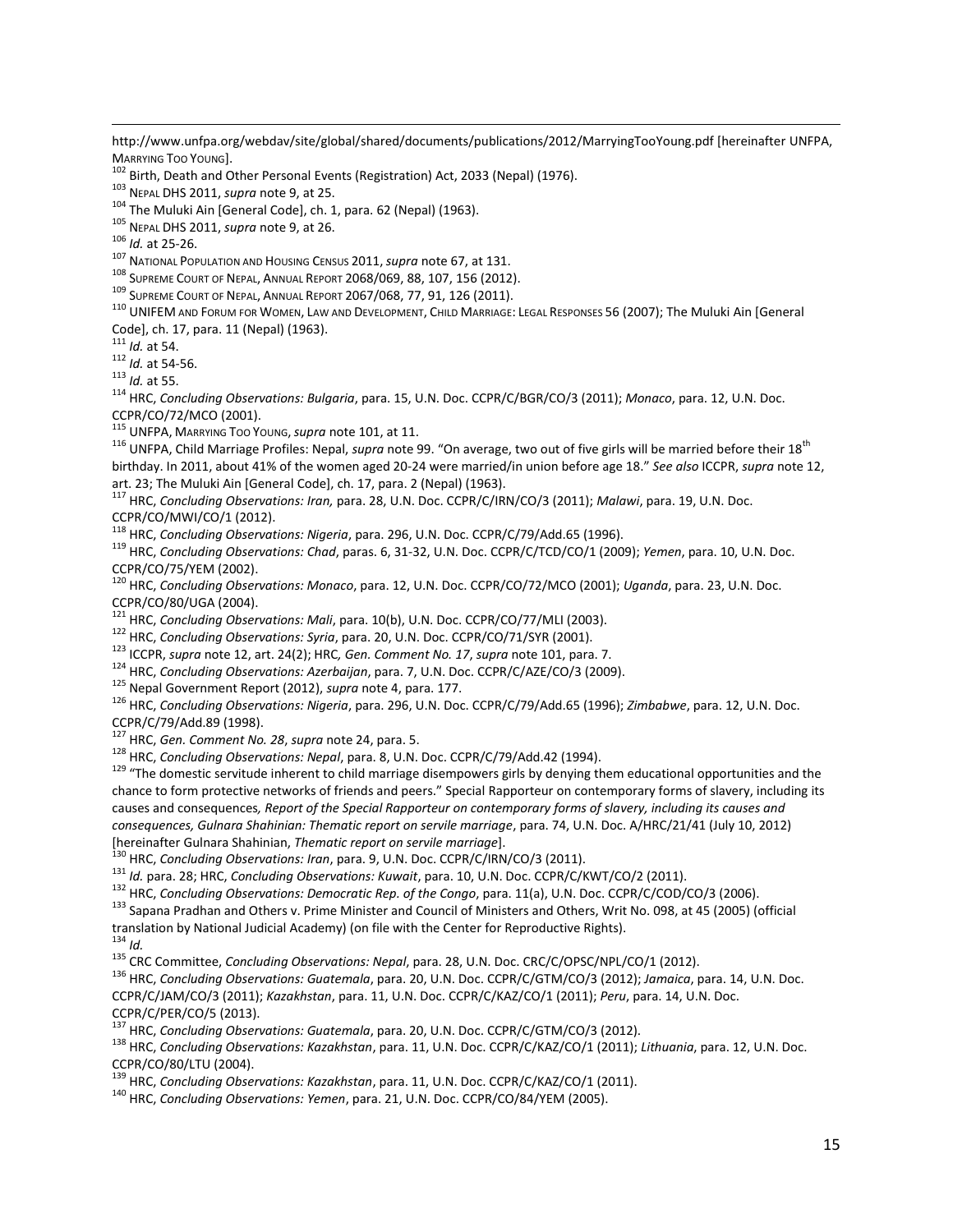http://www.unfpa.org/webdav/site/global/shared/documents/publications/2012/MarryingTooYoung.pdf [hereinafter UNFPA, MARRYING TOO YOUNG].

<sup>102</sup> Birth, Death and Other Personal Events (Registration) Act, 2033 (Nepal) (1976).

<sup>103</sup> NEPAL DHS 2011, *supra* note 9, at 25.

<sup>104</sup> The Muluki Ain [General Code], ch. 1, para. 62 (Nepal) (1963).

<sup>105</sup> NEPAL DHS 2011, *supra* note 9, at 26.

<sup>106</sup> *Id.* at 25-26.

 $\overline{\phantom{a}}$ 

<sup>107</sup> NATIONAL POPULATION AND HOUSING CENSUS 2011,*supra* note 67, at 131.

108 SUPREME COURT OF NEPAL, ANNUAL REPORT 2068/069, 88, 107, 156 (2012).

109 SUPREME COURT OF NEPAL, ANNUAL REPORT 2067/068, 77, 91, 126 (2011).

110 UNIFEM AND FORUM FOR WOMEN, LAW AND DEVELOPMENT, CHILD MARRIAGE: LEGAL RESPONSES 56 (2007); The Muluki Ain [General Code], ch. 17, para. 11 (Nepal) (1963).

<sup>111</sup> *Id.* at 54.

<sup>112</sup> *Id.* at 54-56.

<sup>113</sup> *Id.* at 55.

<sup>114</sup> HRC, *Concluding Observations: Bulgaria*, para. 15, U.N. Doc. CCPR/C/BGR/CO/3 (2011); *Monaco*, para. 12, U.N. Doc. CCPR/CO/72/MCO (2001).

<sup>115</sup> UNFPA, MARRYING TOO YOUNG,*supra* note 101, at 11.

<sup>116</sup> UNFPA, Child Marriage Profiles: Nepal, *supra* note 99. "On average, two out of five girls will be married before their 18th birthday. In 2011, about 41% of the women aged 20-24 were married/in union before age 18." *See also* ICCPR, *supra* note 12, art. 23; The Muluki Ain [General Code], ch. 17, para. 2 (Nepal) (1963).

<sup>117</sup> HRC, *Concluding Observations: Iran,* para. 28, U.N. Doc. CCPR/C/IRN/CO/3 (2011); *Malawi*, para. 19, U.N. Doc. CCPR/CO/MWI/CO/1 (2012).

<sup>118</sup> HRC, *Concluding Observations: Nigeria*, para. 296, U.N. Doc. CCPR/C/79/Add.65 (1996).

<sup>119</sup> HRC, *Concluding Observations: Chad*, paras. 6, 31-32, U.N. Doc. CCPR/C/TCD/CO/1 (2009); *Yemen*, para. 10, U.N. Doc. CCPR/CO/75/YEM (2002).

<sup>120</sup> HRC, *Concluding Observations: Monaco*, para. 12, U.N. Doc. CCPR/CO/72/MCO (2001); *Uganda*, para. 23, U.N. Doc. CCPR/CO/80/UGA (2004).

<sup>121</sup> HRC, *Concluding Observations: Mali*, para. 10(b), U.N. Doc. CCPR/CO/77/MLI (2003).

<sup>122</sup> HRC, *Concluding Observations: Syria*, para. 20, U.N. Doc. CCPR/CO/71/SYR (2001).

<sup>123</sup> ICCPR, *supra* note 12, art. 24(2); HRC*, Gen. Comment No. 17*, *supra* note 101, para. 7.

<sup>124</sup> HRC, *Concluding Observations: Azerbaijan*, para. 7, U.N. Doc. CCPR/C/AZE/CO/3 (2009).

<sup>125</sup> Nepal Government Report (2012), *supra* note 4, para. 177.

<sup>126</sup> HRC, *Concluding Observations: Nigeria*, para. 296, U.N. Doc. CCPR/C/79/Add.65 (1996); *Zimbabwe*, para. 12, U.N. Doc. CCPR/C/79/Add.89 (1998).

<sup>127</sup> HRC, *Gen. Comment No. 28*, *supra* note 24, para. 5.

<sup>128</sup> HRC, *Concluding Observations: Nepal*, para. 8, U.N. Doc. CCPR/C/79/Add.42 (1994).

<sup>129</sup> "The domestic servitude inherent to child marriage disempowers girls by denying them educational opportunities and the chance to form protective networks of friends and peers." Special Rapporteur on contemporary forms of slavery, including its causes and consequences*, Report of the Special Rapporteur on contemporary forms of slavery, including its causes and consequences, Gulnara Shahinian: Thematic report on servile marriage*, para. 74, U.N. Doc. A/HRC/21/41 (July 10, 2012) [hereinafter Gulnara Shahinian, *Thematic report on servile marriage*].

<sup>130</sup> HRC, *Concluding Observations: Iran*, para. 9, U.N. Doc. CCPR/C/IRN/CO/3 (2011).

<sup>131</sup> *Id.* para. 28; HRC, *Concluding Observations: Kuwait*, para. 10, U.N. Doc. CCPR/C/KWT/CO/2 (2011).

<sup>132</sup> HRC, *Concluding Observations: Democratic Rep. of the Congo*, para. 11(a), U.N. Doc. CCPR/C/COD/CO/3 (2006).

133 Sapana Pradhan and Others v. Prime Minister and Council of Ministers and Others, Writ No. 098, at 45 (2005) (official translation by National Judicial Academy) (on file with the Center for Reproductive Rights).

 $134$  *Id.* 

<sup>135</sup> CRC Committee, *Concluding Observations: Nepal*, para. 28, U.N. Doc. CRC/C/OPSC/NPL/CO/1 (2012).

<sup>136</sup> HRC, *Concluding Observations: Guatemala*, para. 20, U.N. Doc. CCPR/C/GTM/CO/3 (2012); *Jamaica*, para. 14, U.N. Doc. CCPR/C/JAM/CO/3 (2011); *Kazakhstan*, para. 11, U.N. Doc. CCPR/C/KAZ/CO/1 (2011); *Peru*, para. 14, U.N. Doc. CCPR/C/PER/CO/5 (2013).

<sup>137</sup> HRC, *Concluding Observations: Guatemala*, para. 20, U.N. Doc. CCPR/C/GTM/CO/3 (2012).

<sup>138</sup> HRC, *Concluding Observations: Kazakhstan*, para. 11, U.N. Doc. CCPR/C/KAZ/CO/1 (2011); *Lithuania*, para. 12, U.N. Doc. CCPR/CO/80/LTU (2004).

<sup>139</sup> HRC, *Concluding Observations: Kazakhstan*, para. 11, U.N. Doc. CCPR/C/KAZ/CO/1 (2011).

<sup>140</sup> HRC, *Concluding Observations: Yemen*, para. 21, U.N. Doc. CCPR/CO/84/YEM (2005).